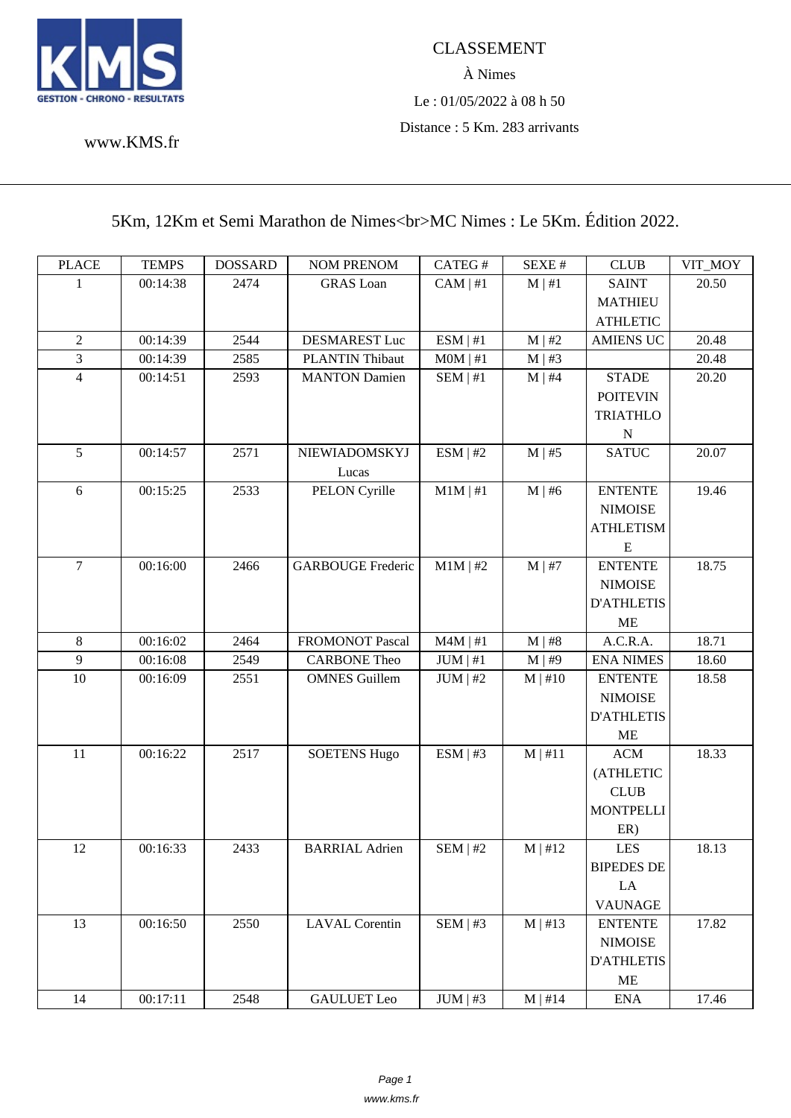

## www.KMS.fr

## [5Km, 12K](www.KMS.fr)m et Semi Marathon de Nimes<br/>s >MC Nimes : Le 5Km. Édition 2022.

| <b>PLACE</b>     | <b>TEMPS</b> | <b>DOSSARD</b> | <b>NOM PRENOM</b>        | CATEG#        | SEXE #       | <b>CLUB</b>       | VIT_MOY |
|------------------|--------------|----------------|--------------------------|---------------|--------------|-------------------|---------|
| 1                | 00:14:38     | 2474           | <b>GRAS</b> Loan         | $CAM \mid #1$ | $M \mid #1$  | <b>SAINT</b>      | 20.50   |
|                  |              |                |                          |               |              | <b>MATHIEU</b>    |         |
|                  |              |                |                          |               |              | <b>ATHLETIC</b>   |         |
| $\overline{2}$   | 00:14:39     | 2544           | <b>DESMAREST Luc</b>     | ESM   #1      | M   #2       | <b>AMIENS UC</b>  | 20.48   |
| $\overline{3}$   | 00:14:39     | 2585           | PLANTIN Thibaut          | MOM   #1      | $M \mid #3$  |                   | 20.48   |
| $\overline{4}$   | 00:14:51     | 2593           | <b>MANTON Damien</b>     | SEM   #1      | $M \mid #4$  | <b>STADE</b>      | 20.20   |
|                  |              |                |                          |               |              | <b>POITEVIN</b>   |         |
|                  |              |                |                          |               |              | <b>TRIATHLO</b>   |         |
|                  |              |                |                          |               |              | $\mathbf N$       |         |
| 5                | 00:14:57     | 2571           | NIEWIADOMSKYJ            | ESM   #2      | $M \mid #5$  | <b>SATUC</b>      | 20.07   |
|                  |              |                | Lucas                    |               |              |                   |         |
| 6                | 00:15:25     | 2533           | PELON Cyrille            | $M1M \mid #1$ | $M \mid #6$  | <b>ENTENTE</b>    | 19.46   |
|                  |              |                |                          |               |              | <b>NIMOISE</b>    |         |
|                  |              |                |                          |               |              | <b>ATHLETISM</b>  |         |
|                  |              |                |                          |               |              | ${\bf E}$         |         |
| $\boldsymbol{7}$ | 00:16:00     | 2466           | <b>GARBOUGE Frederic</b> | $M1M$   #2    | $M \mid #7$  | <b>ENTENTE</b>    | 18.75   |
|                  |              |                |                          |               |              | <b>NIMOISE</b>    |         |
|                  |              |                |                          |               |              | <b>D'ATHLETIS</b> |         |
|                  |              |                |                          |               |              | <b>ME</b>         |         |
| $8\,$            | 00:16:02     | 2464           | FROMONOT Pascal          | $M4M$   #1    | M   #8       | A.C.R.A.          | 18.71   |
| $\overline{9}$   | 00:16:08     | 2549           | <b>CARBONE Theo</b>      | JUM   #1      | $M$   #9     | <b>ENA NIMES</b>  | 18.60   |
| $10\,$           | 00:16:09     | 2551           | <b>OMNES</b> Guillem     | $JUM$   #2    | $M \mid #10$ | <b>ENTENTE</b>    | 18.58   |
|                  |              |                |                          |               |              | <b>NIMOISE</b>    |         |
|                  |              |                |                          |               |              | <b>D'ATHLETIS</b> |         |
|                  |              |                |                          |               |              | <b>ME</b>         |         |
| 11               | 00:16:22     | 2517           | <b>SOETENS Hugo</b>      | ESM   #3      | M   #11      | ACM               | 18.33   |
|                  |              |                |                          |               |              | (ATHLETIC         |         |
|                  |              |                |                          |               |              | CLUB              |         |
|                  |              |                |                          |               |              | <b>MONTPELLI</b>  |         |
|                  |              |                |                          |               |              | ER)               |         |
| 12               | 00:16:33     | 2433           | <b>BARRIAL Adrien</b>    | $SEM$   #2    | M   #12      | LES               | 18.13   |
|                  |              |                |                          |               |              | <b>BIPEDES DE</b> |         |
|                  |              |                |                          |               |              | LA                |         |
|                  |              |                |                          |               |              | <b>VAUNAGE</b>    |         |
| 13               | 00:16:50     | 2550           | <b>LAVAL Corentin</b>    | SEM   #3      | $M$   #13    | <b>ENTENTE</b>    | 17.82   |
|                  |              |                |                          |               |              | <b>NIMOISE</b>    |         |
|                  |              |                |                          |               |              | <b>D'ATHLETIS</b> |         |
|                  |              |                |                          |               |              | ME                |         |
| 14               | 00:17:11     | 2548           | <b>GAULUET</b> Leo       | $JUM$   #3    | $M \mid #14$ | <b>ENA</b>        | 17.46   |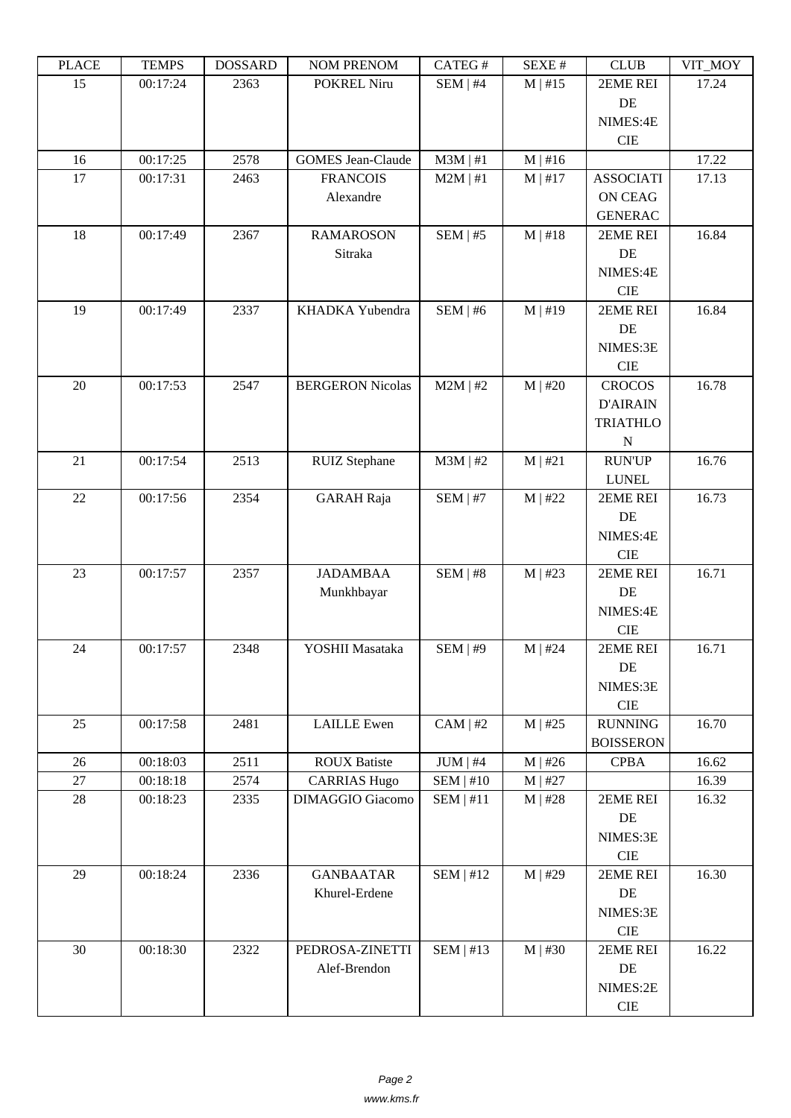| LLACE  | L LIVII D | <u> תעדיממטע</u> | <b>INUINI I INEINUINI</b> | CATLO T       | υL/ΛL π      | CLUD             | YII_MUI |
|--------|-----------|------------------|---------------------------|---------------|--------------|------------------|---------|
| 15     | 00:17:24  | 2363             | POKREL Niru               | SEM   #4      | $M$   #15    | 2EME REI         | 17.24   |
|        |           |                  |                           |               |              | DE               |         |
|        |           |                  |                           |               |              | NIMES:4E         |         |
|        |           |                  |                           |               |              | <b>CIE</b>       |         |
| 16     | 00:17:25  | 2578             | <b>GOMES</b> Jean-Claude  | $M3M$   #1    | $M \mid #16$ |                  | 17.22   |
| 17     | 00:17:31  | 2463             | <b>FRANCOIS</b>           | $M2M$   #1    | $M \mid #17$ | <b>ASSOCIATI</b> | 17.13   |
|        |           |                  | Alexandre                 |               |              | <b>ON CEAG</b>   |         |
|        |           |                  |                           |               |              | <b>GENERAC</b>   |         |
| 18     | 00:17:49  | 2367             | <b>RAMAROSON</b>          | $SEM$   #5    | $M$   #18    | 2EME REI         | 16.84   |
|        |           |                  | Sitraka                   |               |              | DE               |         |
|        |           |                  |                           |               |              | NIMES:4E         |         |
|        |           |                  |                           |               |              | <b>CIE</b>       |         |
| 19     | 00:17:49  | 2337             | KHADKA Yubendra           | SEM   #6      | $M$   #19    | 2EME REI         | 16.84   |
|        |           |                  |                           |               |              | DE               |         |
|        |           |                  |                           |               |              | NIMES:3E         |         |
|        |           |                  |                           |               |              | <b>CIE</b>       |         |
| 20     | 00:17:53  | 2547             | <b>BERGERON Nicolas</b>   | $M2M$   #2    | $M$   #20    | <b>CROCOS</b>    | 16.78   |
|        |           |                  |                           |               |              | <b>D'AIRAIN</b>  |         |
|        |           |                  |                           |               |              | <b>TRIATHLO</b>  |         |
|        |           |                  |                           |               |              | $\mathbf N$      |         |
| 21     |           |                  |                           |               |              |                  |         |
|        | 00:17:54  | 2513             | <b>RUIZ</b> Stephane      | $M3M$   #2    | M   #21      | <b>RUN'UP</b>    | 16.76   |
|        |           |                  |                           |               |              | <b>LUNEL</b>     |         |
| 22     | 00:17:56  | 2354             | <b>GARAH</b> Raja         | $SEM$   #7    | $M$   #22    | 2EME REI         | 16.73   |
|        |           |                  |                           |               |              | DE               |         |
|        |           |                  |                           |               |              | NIMES:4E         |         |
|        |           |                  |                           |               |              | <b>CIE</b>       |         |
| 23     | 00:17:57  | 2357             | <b>JADAMBAA</b>           | SEM   #8      | $M$   #23    | 2EME REI         | 16.71   |
|        |           |                  | Munkhbayar                |               |              | DE               |         |
|        |           |                  |                           |               |              | NIMES:4E         |         |
|        |           |                  |                           |               |              | <b>CIE</b>       |         |
| 24     | 00:17:57  | 2348             | YOSHII Masataka           | SEM   #9      | $M$   #24    | 2EME REI         | 16.71   |
|        |           |                  |                           |               |              | DE               |         |
|        |           |                  |                           |               |              | NIMES:3E         |         |
|        |           |                  |                           |               |              | $\rm CIE$        |         |
| 25     | 00:17:58  | 2481             | <b>LAILLE</b> Ewen        | $CAM \mid #2$ | $M$   #25    | <b>RUNNING</b>   | 16.70   |
|        |           |                  |                           |               |              | <b>BOISSERON</b> |         |
| 26     | 00:18:03  | 2511             | <b>ROUX Batiste</b>       | $JUM$   #4    | $M$   #26    | <b>CPBA</b>      | 16.62   |
| 27     | 00:18:18  | 2574             | <b>CARRIAS Hugo</b>       | SEM   #10     | $M$   #27    |                  | 16.39   |
| $28\,$ | 00:18:23  | 2335             | DIMAGGIO Giacomo          | SEM   #11     | $M$   #28    | 2EME REI         | 16.32   |
|        |           |                  |                           |               |              | DE               |         |
|        |           |                  |                           |               |              | NIMES:3E         |         |
|        |           |                  |                           |               |              | <b>CIE</b>       |         |
| 29     | 00:18:24  | 2336             | <b>GANBAATAR</b>          | SEM   $\#12$  | $M$   #29    | 2EME REI         | 16.30   |
|        |           |                  | Khurel-Erdene             |               |              | DE               |         |
|        |           |                  |                           |               |              | NIMES:3E         |         |
|        |           |                  |                           |               |              | $\rm CIE$        |         |
| 30     | 00:18:30  | 2322             | PEDROSA-ZINETTI           | SEM   #13     | $M$   #30    | 2EME REI         | 16.22   |
|        |           |                  | Alef-Brendon              |               |              | DE               |         |
|        |           |                  |                           |               |              | NIMES:2E         |         |
|        |           |                  |                           |               |              | $\rm CIE$        |         |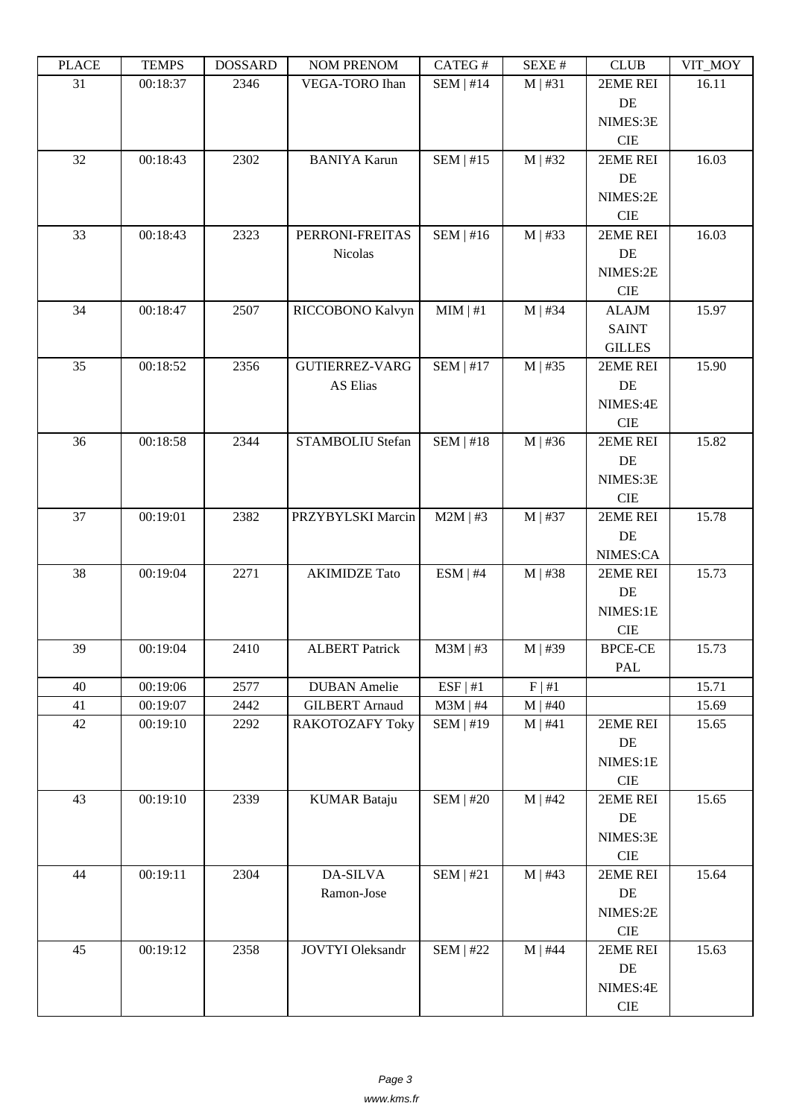| 31<br>00:18:37<br>2346<br>VEGA-TORO Ihan<br>$SEM$   #14<br>$M \mid #31$<br>16.11<br>2EME REI<br>DE<br>NIMES:3E<br>$\rm CIE$<br>2EME REI<br>32<br>00:18:43<br>2302<br><b>BANIYA Karun</b><br>$SEM$   #15<br>$M$   #32<br>16.03<br>DE<br>NIMES:2E<br>$\rm CIE$<br>SEM   #16<br>00:18:43<br>$M$   #33<br>16.03<br>33<br>2323<br>2EME REI<br>PERRONI-FREITAS<br>Nicolas<br>DE<br>NIMES:2E<br>CIE<br>RICCOBONO Kalvyn<br>MIM   #1<br>$M \mid #34$<br>15.97<br>34<br>00:18:47<br>2507<br><b>ALAJM</b><br><b>SAINT</b><br><b>GILLES</b><br>35<br>00:18:52<br>2356<br><b>GUTIERREZ-VARG</b><br>$SEM$   #17<br>$M$   #35<br>15.90<br>2EME REI<br>AS Elias<br>DE<br>NIMES:4E<br>$\rm CIE$<br>$SEM$   #18<br>$M$   #36<br>00:18:58<br>STAMBOLIU Stefan<br>15.82<br>36<br>2344<br>2EME REI<br>DE<br>NIMES:3E<br>CIE<br>$M2M$   #3<br>15.78<br>37<br>00:19:01<br>2382<br>PRZYBYLSKI Marcin<br>$M$   #37<br>2EME REI<br>DE<br>NIMES:CA<br>2271<br><b>AKIMIDZE</b> Tato<br>ESM   #4<br>15.73<br>38<br>00:19:04<br>$M$   #38<br>2EME REI<br>DE<br>NIMES:1E<br>$\rm CIE$<br>39<br>00:19:04<br><b>ALBERT Patrick</b><br>$M3M \mid #3$<br>$M$   #39<br>2410<br><b>BPCE-CE</b><br>15.73<br>PAL<br>ESF   #1<br>2577<br>F   #1<br>15.71<br>40<br>00:19:06<br><b>DUBAN</b> Amelie<br>41<br>00:19:07<br>2442<br><b>GILBERT</b> Arnaud<br>$M3M$   #4<br>$M$   #40<br>15.69<br>42<br>SEM   #19<br>2EME REI<br>15.65<br>00:19:10<br>2292<br><b>RAKOTOZAFY Toky</b><br>M   #41<br>DE<br>NIMES:1E<br>$\rm CIE$<br>43<br>00:19:10<br><b>KUMAR Bataju</b><br>$SEM$   #20<br>$M$   #42<br>2EME REI<br>15.65<br>2339<br>DE<br>NIMES:3E<br>$\rm CIE$<br>15.64<br>44<br>00:19:11<br>2304<br>DA-SILVA<br>$SEM$   #21<br>$M$   #43<br>2EME REI<br>Ramon-Jose<br>DE<br>NIMES:2E<br>$\rm CIE$<br>15.63<br>45<br>00:19:12<br>2358<br><b>JOVTYI</b> Oleksandr<br>$SEM$   #22<br>$M$   #44<br>2EME REI | ם התרו | T ETAIT D | DODDAND | <b>TAQIMET IVERLAQIME</b> | $CATEO \pi$ | SEΔE π | <b>CEOD</b> | $V11$ $V1$ |
|--------------------------------------------------------------------------------------------------------------------------------------------------------------------------------------------------------------------------------------------------------------------------------------------------------------------------------------------------------------------------------------------------------------------------------------------------------------------------------------------------------------------------------------------------------------------------------------------------------------------------------------------------------------------------------------------------------------------------------------------------------------------------------------------------------------------------------------------------------------------------------------------------------------------------------------------------------------------------------------------------------------------------------------------------------------------------------------------------------------------------------------------------------------------------------------------------------------------------------------------------------------------------------------------------------------------------------------------------------------------------------------------------------------------------------------------------------------------------------------------------------------------------------------------------------------------------------------------------------------------------------------------------------------------------------------------------------------------------------------------------------------------------------------------------------------------------------------------------------------|--------|-----------|---------|---------------------------|-------------|--------|-------------|------------|
|                                                                                                                                                                                                                                                                                                                                                                                                                                                                                                                                                                                                                                                                                                                                                                                                                                                                                                                                                                                                                                                                                                                                                                                                                                                                                                                                                                                                                                                                                                                                                                                                                                                                                                                                                                                                                                                              |        |           |         |                           |             |        |             |            |
|                                                                                                                                                                                                                                                                                                                                                                                                                                                                                                                                                                                                                                                                                                                                                                                                                                                                                                                                                                                                                                                                                                                                                                                                                                                                                                                                                                                                                                                                                                                                                                                                                                                                                                                                                                                                                                                              |        |           |         |                           |             |        |             |            |
|                                                                                                                                                                                                                                                                                                                                                                                                                                                                                                                                                                                                                                                                                                                                                                                                                                                                                                                                                                                                                                                                                                                                                                                                                                                                                                                                                                                                                                                                                                                                                                                                                                                                                                                                                                                                                                                              |        |           |         |                           |             |        |             |            |
|                                                                                                                                                                                                                                                                                                                                                                                                                                                                                                                                                                                                                                                                                                                                                                                                                                                                                                                                                                                                                                                                                                                                                                                                                                                                                                                                                                                                                                                                                                                                                                                                                                                                                                                                                                                                                                                              |        |           |         |                           |             |        |             |            |
|                                                                                                                                                                                                                                                                                                                                                                                                                                                                                                                                                                                                                                                                                                                                                                                                                                                                                                                                                                                                                                                                                                                                                                                                                                                                                                                                                                                                                                                                                                                                                                                                                                                                                                                                                                                                                                                              |        |           |         |                           |             |        |             |            |
|                                                                                                                                                                                                                                                                                                                                                                                                                                                                                                                                                                                                                                                                                                                                                                                                                                                                                                                                                                                                                                                                                                                                                                                                                                                                                                                                                                                                                                                                                                                                                                                                                                                                                                                                                                                                                                                              |        |           |         |                           |             |        |             |            |
|                                                                                                                                                                                                                                                                                                                                                                                                                                                                                                                                                                                                                                                                                                                                                                                                                                                                                                                                                                                                                                                                                                                                                                                                                                                                                                                                                                                                                                                                                                                                                                                                                                                                                                                                                                                                                                                              |        |           |         |                           |             |        |             |            |
|                                                                                                                                                                                                                                                                                                                                                                                                                                                                                                                                                                                                                                                                                                                                                                                                                                                                                                                                                                                                                                                                                                                                                                                                                                                                                                                                                                                                                                                                                                                                                                                                                                                                                                                                                                                                                                                              |        |           |         |                           |             |        |             |            |
|                                                                                                                                                                                                                                                                                                                                                                                                                                                                                                                                                                                                                                                                                                                                                                                                                                                                                                                                                                                                                                                                                                                                                                                                                                                                                                                                                                                                                                                                                                                                                                                                                                                                                                                                                                                                                                                              |        |           |         |                           |             |        |             |            |
|                                                                                                                                                                                                                                                                                                                                                                                                                                                                                                                                                                                                                                                                                                                                                                                                                                                                                                                                                                                                                                                                                                                                                                                                                                                                                                                                                                                                                                                                                                                                                                                                                                                                                                                                                                                                                                                              |        |           |         |                           |             |        |             |            |
|                                                                                                                                                                                                                                                                                                                                                                                                                                                                                                                                                                                                                                                                                                                                                                                                                                                                                                                                                                                                                                                                                                                                                                                                                                                                                                                                                                                                                                                                                                                                                                                                                                                                                                                                                                                                                                                              |        |           |         |                           |             |        |             |            |
|                                                                                                                                                                                                                                                                                                                                                                                                                                                                                                                                                                                                                                                                                                                                                                                                                                                                                                                                                                                                                                                                                                                                                                                                                                                                                                                                                                                                                                                                                                                                                                                                                                                                                                                                                                                                                                                              |        |           |         |                           |             |        |             |            |
|                                                                                                                                                                                                                                                                                                                                                                                                                                                                                                                                                                                                                                                                                                                                                                                                                                                                                                                                                                                                                                                                                                                                                                                                                                                                                                                                                                                                                                                                                                                                                                                                                                                                                                                                                                                                                                                              |        |           |         |                           |             |        |             |            |
|                                                                                                                                                                                                                                                                                                                                                                                                                                                                                                                                                                                                                                                                                                                                                                                                                                                                                                                                                                                                                                                                                                                                                                                                                                                                                                                                                                                                                                                                                                                                                                                                                                                                                                                                                                                                                                                              |        |           |         |                           |             |        |             |            |
|                                                                                                                                                                                                                                                                                                                                                                                                                                                                                                                                                                                                                                                                                                                                                                                                                                                                                                                                                                                                                                                                                                                                                                                                                                                                                                                                                                                                                                                                                                                                                                                                                                                                                                                                                                                                                                                              |        |           |         |                           |             |        |             |            |
|                                                                                                                                                                                                                                                                                                                                                                                                                                                                                                                                                                                                                                                                                                                                                                                                                                                                                                                                                                                                                                                                                                                                                                                                                                                                                                                                                                                                                                                                                                                                                                                                                                                                                                                                                                                                                                                              |        |           |         |                           |             |        |             |            |
|                                                                                                                                                                                                                                                                                                                                                                                                                                                                                                                                                                                                                                                                                                                                                                                                                                                                                                                                                                                                                                                                                                                                                                                                                                                                                                                                                                                                                                                                                                                                                                                                                                                                                                                                                                                                                                                              |        |           |         |                           |             |        |             |            |
|                                                                                                                                                                                                                                                                                                                                                                                                                                                                                                                                                                                                                                                                                                                                                                                                                                                                                                                                                                                                                                                                                                                                                                                                                                                                                                                                                                                                                                                                                                                                                                                                                                                                                                                                                                                                                                                              |        |           |         |                           |             |        |             |            |
|                                                                                                                                                                                                                                                                                                                                                                                                                                                                                                                                                                                                                                                                                                                                                                                                                                                                                                                                                                                                                                                                                                                                                                                                                                                                                                                                                                                                                                                                                                                                                                                                                                                                                                                                                                                                                                                              |        |           |         |                           |             |        |             |            |
|                                                                                                                                                                                                                                                                                                                                                                                                                                                                                                                                                                                                                                                                                                                                                                                                                                                                                                                                                                                                                                                                                                                                                                                                                                                                                                                                                                                                                                                                                                                                                                                                                                                                                                                                                                                                                                                              |        |           |         |                           |             |        |             |            |
|                                                                                                                                                                                                                                                                                                                                                                                                                                                                                                                                                                                                                                                                                                                                                                                                                                                                                                                                                                                                                                                                                                                                                                                                                                                                                                                                                                                                                                                                                                                                                                                                                                                                                                                                                                                                                                                              |        |           |         |                           |             |        |             |            |
|                                                                                                                                                                                                                                                                                                                                                                                                                                                                                                                                                                                                                                                                                                                                                                                                                                                                                                                                                                                                                                                                                                                                                                                                                                                                                                                                                                                                                                                                                                                                                                                                                                                                                                                                                                                                                                                              |        |           |         |                           |             |        |             |            |
|                                                                                                                                                                                                                                                                                                                                                                                                                                                                                                                                                                                                                                                                                                                                                                                                                                                                                                                                                                                                                                                                                                                                                                                                                                                                                                                                                                                                                                                                                                                                                                                                                                                                                                                                                                                                                                                              |        |           |         |                           |             |        |             |            |
|                                                                                                                                                                                                                                                                                                                                                                                                                                                                                                                                                                                                                                                                                                                                                                                                                                                                                                                                                                                                                                                                                                                                                                                                                                                                                                                                                                                                                                                                                                                                                                                                                                                                                                                                                                                                                                                              |        |           |         |                           |             |        |             |            |
|                                                                                                                                                                                                                                                                                                                                                                                                                                                                                                                                                                                                                                                                                                                                                                                                                                                                                                                                                                                                                                                                                                                                                                                                                                                                                                                                                                                                                                                                                                                                                                                                                                                                                                                                                                                                                                                              |        |           |         |                           |             |        |             |            |
|                                                                                                                                                                                                                                                                                                                                                                                                                                                                                                                                                                                                                                                                                                                                                                                                                                                                                                                                                                                                                                                                                                                                                                                                                                                                                                                                                                                                                                                                                                                                                                                                                                                                                                                                                                                                                                                              |        |           |         |                           |             |        |             |            |
|                                                                                                                                                                                                                                                                                                                                                                                                                                                                                                                                                                                                                                                                                                                                                                                                                                                                                                                                                                                                                                                                                                                                                                                                                                                                                                                                                                                                                                                                                                                                                                                                                                                                                                                                                                                                                                                              |        |           |         |                           |             |        |             |            |
|                                                                                                                                                                                                                                                                                                                                                                                                                                                                                                                                                                                                                                                                                                                                                                                                                                                                                                                                                                                                                                                                                                                                                                                                                                                                                                                                                                                                                                                                                                                                                                                                                                                                                                                                                                                                                                                              |        |           |         |                           |             |        |             |            |
|                                                                                                                                                                                                                                                                                                                                                                                                                                                                                                                                                                                                                                                                                                                                                                                                                                                                                                                                                                                                                                                                                                                                                                                                                                                                                                                                                                                                                                                                                                                                                                                                                                                                                                                                                                                                                                                              |        |           |         |                           |             |        |             |            |
|                                                                                                                                                                                                                                                                                                                                                                                                                                                                                                                                                                                                                                                                                                                                                                                                                                                                                                                                                                                                                                                                                                                                                                                                                                                                                                                                                                                                                                                                                                                                                                                                                                                                                                                                                                                                                                                              |        |           |         |                           |             |        |             |            |
|                                                                                                                                                                                                                                                                                                                                                                                                                                                                                                                                                                                                                                                                                                                                                                                                                                                                                                                                                                                                                                                                                                                                                                                                                                                                                                                                                                                                                                                                                                                                                                                                                                                                                                                                                                                                                                                              |        |           |         |                           |             |        |             |            |
|                                                                                                                                                                                                                                                                                                                                                                                                                                                                                                                                                                                                                                                                                                                                                                                                                                                                                                                                                                                                                                                                                                                                                                                                                                                                                                                                                                                                                                                                                                                                                                                                                                                                                                                                                                                                                                                              |        |           |         |                           |             |        |             |            |
|                                                                                                                                                                                                                                                                                                                                                                                                                                                                                                                                                                                                                                                                                                                                                                                                                                                                                                                                                                                                                                                                                                                                                                                                                                                                                                                                                                                                                                                                                                                                                                                                                                                                                                                                                                                                                                                              |        |           |         |                           |             |        |             |            |
|                                                                                                                                                                                                                                                                                                                                                                                                                                                                                                                                                                                                                                                                                                                                                                                                                                                                                                                                                                                                                                                                                                                                                                                                                                                                                                                                                                                                                                                                                                                                                                                                                                                                                                                                                                                                                                                              |        |           |         |                           |             |        |             |            |
|                                                                                                                                                                                                                                                                                                                                                                                                                                                                                                                                                                                                                                                                                                                                                                                                                                                                                                                                                                                                                                                                                                                                                                                                                                                                                                                                                                                                                                                                                                                                                                                                                                                                                                                                                                                                                                                              |        |           |         |                           |             |        |             |            |
|                                                                                                                                                                                                                                                                                                                                                                                                                                                                                                                                                                                                                                                                                                                                                                                                                                                                                                                                                                                                                                                                                                                                                                                                                                                                                                                                                                                                                                                                                                                                                                                                                                                                                                                                                                                                                                                              |        |           |         |                           |             |        |             |            |
|                                                                                                                                                                                                                                                                                                                                                                                                                                                                                                                                                                                                                                                                                                                                                                                                                                                                                                                                                                                                                                                                                                                                                                                                                                                                                                                                                                                                                                                                                                                                                                                                                                                                                                                                                                                                                                                              |        |           |         |                           |             |        |             |            |
|                                                                                                                                                                                                                                                                                                                                                                                                                                                                                                                                                                                                                                                                                                                                                                                                                                                                                                                                                                                                                                                                                                                                                                                                                                                                                                                                                                                                                                                                                                                                                                                                                                                                                                                                                                                                                                                              |        |           |         |                           |             |        |             |            |
|                                                                                                                                                                                                                                                                                                                                                                                                                                                                                                                                                                                                                                                                                                                                                                                                                                                                                                                                                                                                                                                                                                                                                                                                                                                                                                                                                                                                                                                                                                                                                                                                                                                                                                                                                                                                                                                              |        |           |         |                           |             |        |             |            |
|                                                                                                                                                                                                                                                                                                                                                                                                                                                                                                                                                                                                                                                                                                                                                                                                                                                                                                                                                                                                                                                                                                                                                                                                                                                                                                                                                                                                                                                                                                                                                                                                                                                                                                                                                                                                                                                              |        |           |         |                           |             |        |             |            |
|                                                                                                                                                                                                                                                                                                                                                                                                                                                                                                                                                                                                                                                                                                                                                                                                                                                                                                                                                                                                                                                                                                                                                                                                                                                                                                                                                                                                                                                                                                                                                                                                                                                                                                                                                                                                                                                              |        |           |         |                           |             |        |             |            |
|                                                                                                                                                                                                                                                                                                                                                                                                                                                                                                                                                                                                                                                                                                                                                                                                                                                                                                                                                                                                                                                                                                                                                                                                                                                                                                                                                                                                                                                                                                                                                                                                                                                                                                                                                                                                                                                              |        |           |         |                           |             |        |             |            |
|                                                                                                                                                                                                                                                                                                                                                                                                                                                                                                                                                                                                                                                                                                                                                                                                                                                                                                                                                                                                                                                                                                                                                                                                                                                                                                                                                                                                                                                                                                                                                                                                                                                                                                                                                                                                                                                              |        |           |         |                           |             |        |             |            |
|                                                                                                                                                                                                                                                                                                                                                                                                                                                                                                                                                                                                                                                                                                                                                                                                                                                                                                                                                                                                                                                                                                                                                                                                                                                                                                                                                                                                                                                                                                                                                                                                                                                                                                                                                                                                                                                              |        |           |         |                           |             |        |             |            |
|                                                                                                                                                                                                                                                                                                                                                                                                                                                                                                                                                                                                                                                                                                                                                                                                                                                                                                                                                                                                                                                                                                                                                                                                                                                                                                                                                                                                                                                                                                                                                                                                                                                                                                                                                                                                                                                              |        |           |         |                           |             |        |             |            |
|                                                                                                                                                                                                                                                                                                                                                                                                                                                                                                                                                                                                                                                                                                                                                                                                                                                                                                                                                                                                                                                                                                                                                                                                                                                                                                                                                                                                                                                                                                                                                                                                                                                                                                                                                                                                                                                              |        |           |         |                           |             |        |             |            |
| DE                                                                                                                                                                                                                                                                                                                                                                                                                                                                                                                                                                                                                                                                                                                                                                                                                                                                                                                                                                                                                                                                                                                                                                                                                                                                                                                                                                                                                                                                                                                                                                                                                                                                                                                                                                                                                                                           |        |           |         |                           |             |        |             |            |
| NIMES:4E                                                                                                                                                                                                                                                                                                                                                                                                                                                                                                                                                                                                                                                                                                                                                                                                                                                                                                                                                                                                                                                                                                                                                                                                                                                                                                                                                                                                                                                                                                                                                                                                                                                                                                                                                                                                                                                     |        |           |         |                           |             |        |             |            |
| ${\rm CIE}$                                                                                                                                                                                                                                                                                                                                                                                                                                                                                                                                                                                                                                                                                                                                                                                                                                                                                                                                                                                                                                                                                                                                                                                                                                                                                                                                                                                                                                                                                                                                                                                                                                                                                                                                                                                                                                                  |        |           |         |                           |             |        |             |            |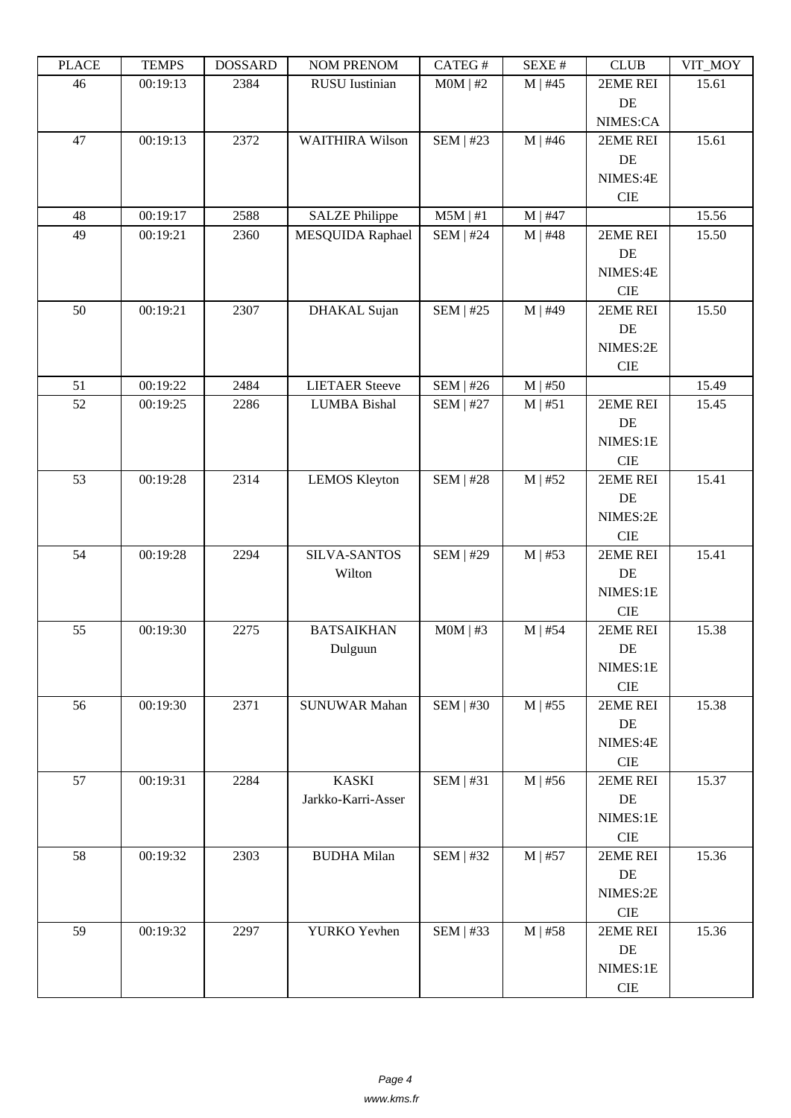| ם המדו | <u>ה דואים ד</u> | DODDAND | <b>TAQIMET IZETAQIME</b> | $CALU \pi$       | π ברגבוט     | <b>CEOD</b> | $V11$ $V1$ |
|--------|------------------|---------|--------------------------|------------------|--------------|-------------|------------|
| 46     | 00:19:13         | 2384    | <b>RUSU</b> Iustinian    | $MOM$   #2       | $M$   #45    | 2EME REI    | 15.61      |
|        |                  |         |                          |                  |              | $\rm DE$    |            |
|        |                  |         |                          |                  |              | NIMES:CA    |            |
| 47     | 00:19:13         | 2372    | <b>WAITHIRA Wilson</b>   | SEM   $#23$      | $M$   #46    | 2EME REI    | 15.61      |
|        |                  |         |                          |                  |              | $\rm DE$    |            |
|        |                  |         |                          |                  |              | NIMES:4E    |            |
|        |                  |         |                          |                  |              | <b>CIE</b>  |            |
| 48     | 00:19:17         | 2588    | <b>SALZE Philippe</b>    | $M5M$   #1       | $M$   #47    |             | 15.56      |
| 49     | 00:19:21         | 2360    | MESQUIDA Raphael         | <b>SEM   #24</b> | $M$   #48    | 2EME REI    | 15.50      |
|        |                  |         |                          |                  |              | DE          |            |
|        |                  |         |                          |                  |              | NIMES:4E    |            |
|        |                  |         |                          |                  |              | <b>CIE</b>  |            |
| 50     | 00:19:21         | 2307    | DHAKAL Sujan             | SEM   #25        | $M$   #49    | 2EME REI    | 15.50      |
|        |                  |         |                          |                  |              | DE          |            |
|        |                  |         |                          |                  |              | NIMES:2E    |            |
|        |                  |         |                          |                  |              | <b>CIE</b>  |            |
| 51     | 00:19:22         | 2484    | <b>LIETAER Steeve</b>    | <b>SEM   #26</b> | $M$   #50    |             | 15.49      |
| 52     | 00:19:25         | 2286    | <b>LUMBA Bishal</b>      | $SEM$   #27      | $M \mid #51$ | 2EME REI    | 15.45      |
|        |                  |         |                          |                  |              | DE          |            |
|        |                  |         |                          |                  |              | NIMES:1E    |            |
|        |                  |         |                          |                  |              | <b>CIE</b>  |            |
| 53     | 00:19:28         | 2314    | <b>LEMOS Kleyton</b>     | <b>SEM   #28</b> | $M$   #52    | 2EME REI    | 15.41      |
|        |                  |         |                          |                  |              | DE          |            |
|        |                  |         |                          |                  |              | NIMES:2E    |            |
|        |                  |         |                          |                  |              | $\rm CIE$   |            |
| 54     | 00:19:28         | 2294    | <b>SILVA-SANTOS</b>      | <b>SEM   #29</b> | $M$   #53    | 2EME REI    | 15.41      |
|        |                  |         | Wilton                   |                  |              | $\rm DE$    |            |
|        |                  |         |                          |                  |              | NIMES:1E    |            |
|        |                  |         |                          |                  |              | $\rm CIE$   |            |
| 55     | 00:19:30         | 2275    | <b>BATSAIKHAN</b>        | $MOM$   #3       | $M$   #54    | 2EME REI    | 15.38      |
|        |                  |         | Dulguun                  |                  |              | DE          |            |
|        |                  |         |                          |                  |              | NIMES:1E    |            |
|        |                  |         |                          |                  |              | CIE         |            |
| 56     | 00:19:30         | 2371    | <b>SUNUWAR Mahan</b>     | <b>SEM   #30</b> | $M$   #55    | 2EME REI    | 15.38      |
|        |                  |         |                          |                  |              | $\rm DE$    |            |
|        |                  |         |                          |                  |              | NIMES:4E    |            |
|        |                  |         |                          |                  |              | $\rm CIE$   |            |
| 57     | 00:19:31         | 2284    | <b>KASKI</b>             | SEM   #31        | $M$   #56    | 2EME REI    | 15.37      |
|        |                  |         | Jarkko-Karri-Asser       |                  |              | DE          |            |
|        |                  |         |                          |                  |              | NIMES:1E    |            |
|        |                  |         |                          |                  |              | ${\rm CIE}$ |            |
| 58     | 00:19:32         | 2303    | <b>BUDHA Milan</b>       | <b>SEM   #32</b> | $M$   #57    | 2EME REI    | 15.36      |
|        |                  |         |                          |                  |              | DE          |            |
|        |                  |         |                          |                  |              | NIMES:2E    |            |
|        |                  |         |                          |                  |              | $\rm CIE$   |            |
| 59     | 00:19:32         | 2297    | YURKO Yevhen             | <b>SEM   #33</b> | $M$   #58    | 2EME REI    | 15.36      |
|        |                  |         |                          |                  |              | $\rm DE$    |            |
|        |                  |         |                          |                  |              | NIMES:1E    |            |
|        |                  |         |                          |                  |              | $\rm CIE$   |            |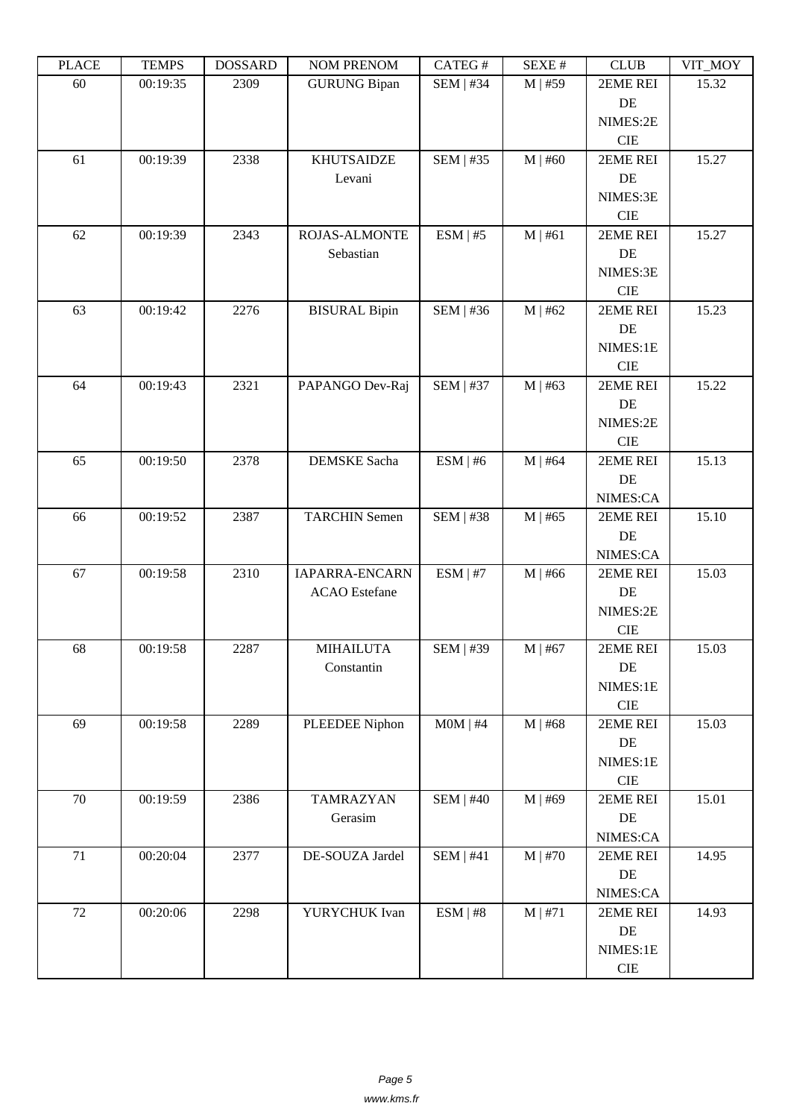| LEACE  | L TIATI D | <u> חשדיממה ח</u> | <b>NUMER NETVOM</b>   | CATLO T          | NL/NL π      | CLUD       | VII_WU I |
|--------|-----------|-------------------|-----------------------|------------------|--------------|------------|----------|
| 60     | 00:19:35  | 2309              | <b>GURUNG Bipan</b>   | <b>SEM   #34</b> | $M \mid #59$ | 2EME REI   | 15.32    |
|        |           |                   |                       |                  |              | DE         |          |
|        |           |                   |                       |                  |              | NIMES:2E   |          |
|        |           |                   |                       |                  |              | CIE        |          |
| 61     | 00:19:39  | 2338              | <b>KHUTSAIDZE</b>     | SEM   #35        | $M$   #60    | 2EME REI   | 15.27    |
|        |           |                   | Levani                |                  |              | DE         |          |
|        |           |                   |                       |                  |              |            |          |
|        |           |                   |                       |                  |              | NIMES:3E   |          |
|        |           |                   |                       |                  |              | <b>CIE</b> |          |
| 62     | 00:19:39  | 2343              | <b>ROJAS-ALMONTE</b>  | ESM   #5         | M   #61      | 2EME REI   | 15.27    |
|        |           |                   | Sebastian             |                  |              | $\rm DE$   |          |
|        |           |                   |                       |                  |              | NIMES:3E   |          |
|        |           |                   |                       |                  |              | <b>CIE</b> |          |
| 63     | 00:19:42  | 2276              | <b>BISURAL Bipin</b>  | SEM   #36        | $M$   #62    | 2EME REI   | 15.23    |
|        |           |                   |                       |                  |              | DE         |          |
|        |           |                   |                       |                  |              | NIMES:1E   |          |
|        |           |                   |                       |                  |              | <b>CIE</b> |          |
| 64     | 00:19:43  | 2321              | PAPANGO Dev-Raj       | <b>SEM   #37</b> | $M$   #63    | 2EME REI   | 15.22    |
|        |           |                   |                       |                  |              | DE         |          |
|        |           |                   |                       |                  |              | NIMES:2E   |          |
|        |           |                   |                       |                  |              | <b>CIE</b> |          |
| 65     | 00:19:50  | 2378              | DEMSKE Sacha          | ESM   #6         | $M$   #64    | 2EME REI   | 15.13    |
|        |           |                   |                       |                  |              | DE         |          |
|        |           |                   |                       |                  |              | NIMES:CA   |          |
|        |           |                   |                       |                  |              |            |          |
| 66     | 00:19:52  | 2387              | <b>TARCHIN Semen</b>  | <b>SEM   #38</b> | $M$   #65    | 2EME REI   | 15.10    |
|        |           |                   |                       |                  |              | DE         |          |
|        |           |                   |                       |                  |              | NIMES:CA   |          |
| 67     | 00:19:58  | 2310              | <b>IAPARRA-ENCARN</b> | ESM   #7         | $M$   #66    | 2EME REI   | 15.03    |
|        |           |                   | <b>ACAO</b> Estefane  |                  |              | DE         |          |
|        |           |                   |                       |                  |              | NIMES:2E   |          |
|        |           |                   |                       |                  |              | CIE        |          |
| 68     | 00:19:58  | 2287              | <b>MIHAILUTA</b>      | SEM   #39        | $M$   #67    | 2EME REI   | 15.03    |
|        |           |                   | Constantin            |                  |              | $\rm DE$   |          |
|        |           |                   |                       |                  |              | NIMES:1E   |          |
|        |           |                   |                       |                  |              | CIE        |          |
| 69     | 00:19:58  | 2289              | PLEEDEE Niphon        | $MOM$   #4       | $M$   #68    | 2EME REI   | 15.03    |
|        |           |                   |                       |                  |              | DE         |          |
|        |           |                   |                       |                  |              | NIMES:1E   |          |
|        |           |                   |                       |                  |              | CIE        |          |
| 70     | 00:19:59  | 2386              | <b>TAMRAZYAN</b>      | <b>SEM   #40</b> | $M \mid #69$ | 2EME REI   | 15.01    |
|        |           |                   | Gerasim               |                  |              | $\rm DE$   |          |
|        |           |                   |                       |                  |              | NIMES:CA   |          |
| $71\,$ | 00:20:04  | 2377              | DE-SOUZA Jardel       | SEM   #41        | $M$   #70    | 2EME REI   | 14.95    |
|        |           |                   |                       |                  |              | $\rm DE$   |          |
|        |           |                   |                       |                  |              |            |          |
|        |           |                   |                       |                  |              | NIMES:CA   |          |
| 72     | 00:20:06  | 2298              | YURYCHUK Ivan         | ESM   #8         | M   #71      | 2EME REI   | 14.93    |
|        |           |                   |                       |                  |              | $\rm DE$   |          |
|        |           |                   |                       |                  |              | NIMES:1E   |          |
|        |           |                   |                       |                  |              | <b>CIE</b> |          |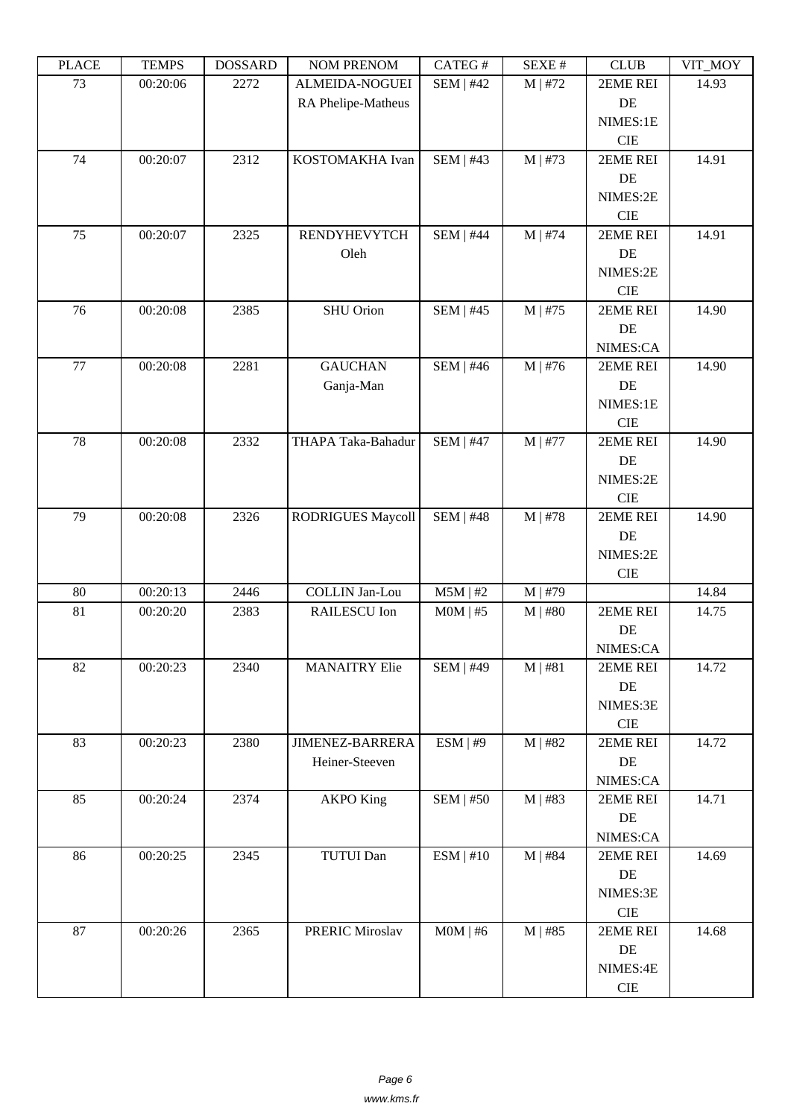| ם המדו | ט וואדם ז | DODDAIND | <b>TAQIMET IZETAQIME</b> | $CALLO$ $\pi$    | π ברגבוט     | <b>CEOD</b> | $V11$ $V1$ |
|--------|-----------|----------|--------------------------|------------------|--------------|-------------|------------|
| 73     | 00:20:06  | 2272     | ALMEIDA-NOGUEI           | <b>SEM   #42</b> | $M$   #72    | 2EME REI    | 14.93      |
|        |           |          | RA Phelipe-Matheus       |                  |              | $\rm DE$    |            |
|        |           |          |                          |                  |              | NIMES:1E    |            |
|        |           |          |                          |                  |              | <b>CIE</b>  |            |
| 74     | 00:20:07  | 2312     | KOSTOMAKHA Ivan          | <b>SEM   #43</b> | $M$   #73    | 2EME REI    | 14.91      |
|        |           |          |                          |                  |              | $\rm DE$    |            |
|        |           |          |                          |                  |              | NIMES:2E    |            |
|        |           |          |                          |                  |              | <b>CIE</b>  |            |
| 75     | 00:20:07  | 2325     | <b>RENDYHEVYTCH</b>      | <b>SEM   #44</b> | $M$   #74    | 2EME REI    | 14.91      |
|        |           |          | Oleh                     |                  |              | DE          |            |
|        |           |          |                          |                  |              | NIMES:2E    |            |
|        |           |          |                          |                  |              | <b>CIE</b>  |            |
| 76     | 00:20:08  | 2385     | SHU Orion                | SEM   #45        | $M \mid #75$ | 2EME REI    | 14.90      |
|        |           |          |                          |                  |              | DE          |            |
|        |           |          |                          |                  |              | NIMES:CA    |            |
| 77     | 00:20:08  | 2281     | <b>GAUCHAN</b>           | <b>SEM   #46</b> | $M$   #76    | 2EME REI    | 14.90      |
|        |           |          | Ganja-Man                |                  |              | DE          |            |
|        |           |          |                          |                  |              | NIMES:1E    |            |
|        |           |          |                          |                  |              | CIE         |            |
| 78     | 00:20:08  | 2332     | THAPA Taka-Bahadur       | <b>SEM   #47</b> | $M$   #77    | 2EME REI    | 14.90      |
|        |           |          |                          |                  |              | DE          |            |
|        |           |          |                          |                  |              | NIMES:2E    |            |
|        |           |          |                          |                  |              | <b>CIE</b>  |            |
| 79     | 00:20:08  | 2326     | <b>RODRIGUES Maycoll</b> | $SEM$   #48      | $M$   #78    | 2EME REI    | 14.90      |
|        |           |          |                          |                  |              | DE          |            |
|        |           |          |                          |                  |              | NIMES:2E    |            |
|        |           |          |                          |                  |              | <b>CIE</b>  |            |
| 80     | 00:20:13  | 2446     | <b>COLLIN Jan-Lou</b>    | $M5M$   #2       | M   #79      |             | 14.84      |
| 81     | 00:20:20  | 2383     | RAILESCU Ion             | $MOM$   #5       | $M \mid #80$ | 2EME REI    | 14.75      |
|        |           |          |                          |                  |              | DE          |            |
|        |           |          |                          |                  |              | NIMES:CA    |            |
| 82     | 00:20:23  | 2340     | <b>MANAITRY Elie</b>     | <b>SEM   #49</b> | $M$   #81    | 2EME REI    | 14.72      |
|        |           |          |                          |                  |              | DE          |            |
|        |           |          |                          |                  |              | NIMES:3E    |            |
|        |           |          |                          |                  |              | ${\rm CIE}$ |            |
| 83     | 00:20:23  | 2380     | <b>JIMENEZ-BARRERA</b>   | ESM   #9         | $M$   #82    | 2EME REI    | 14.72      |
|        |           |          | Heiner-Steeven           |                  |              | DE          |            |
|        |           |          |                          |                  |              | NIMES:CA    |            |
| 85     | 00:20:24  | 2374     | <b>AKPO King</b>         | SEM   #50        | $M$   #83    | 2EME REI    | 14.71      |
|        |           |          |                          |                  |              | DE          |            |
|        |           |          |                          |                  |              | NIMES:CA    |            |
| 86     | 00:20:25  | 2345     | <b>TUTUI Dan</b>         | ESM   #10        | $M$   #84    | 2EME REI    | 14.69      |
|        |           |          |                          |                  |              | DE          |            |
|        |           |          |                          |                  |              | NIMES:3E    |            |
|        |           |          |                          |                  |              | ${\rm CIE}$ |            |
| 87     | 00:20:26  | 2365     | <b>PRERIC Miroslav</b>   | $MOM$   #6       | $M$   #85    | 2EME REI    | 14.68      |
|        |           |          |                          |                  |              | DE          |            |
|        |           |          |                          |                  |              | NIMES:4E    |            |
|        |           |          |                          |                  |              | ${\rm CIE}$ |            |
|        |           |          |                          |                  |              |             |            |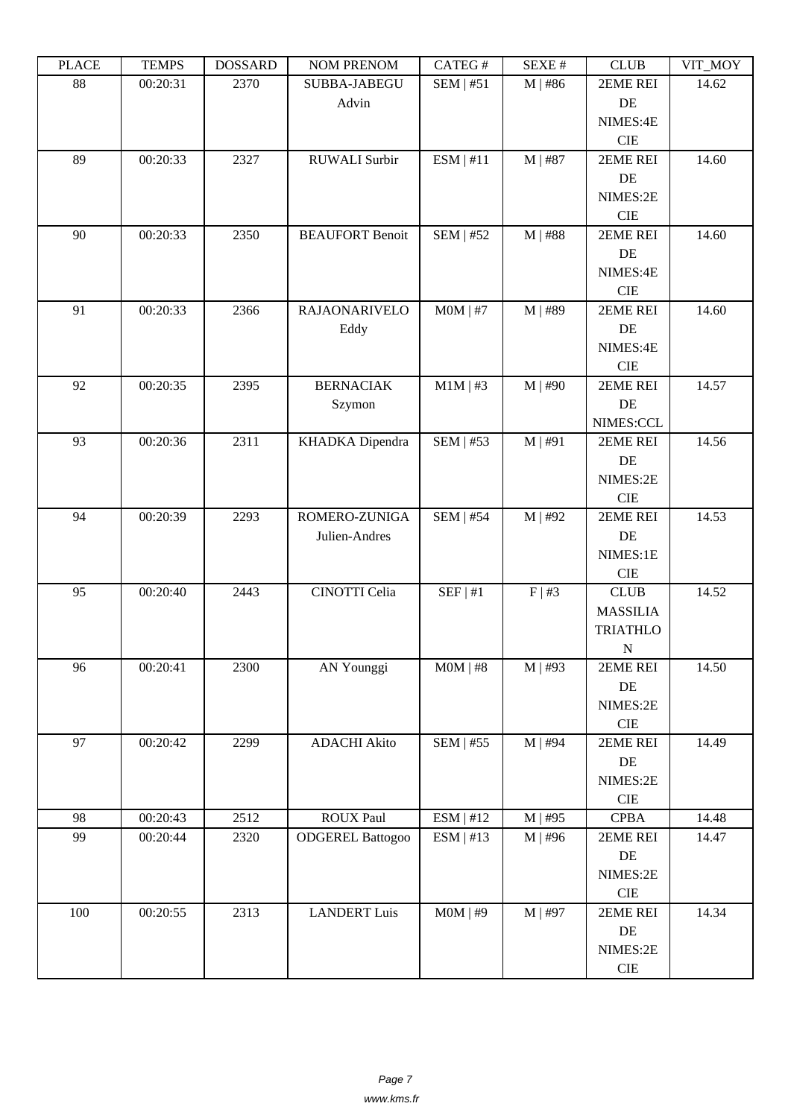| ם התרו | ט וואדם ד | DODDAIND | <b>TAQIMET IZETAQIME</b> | $CALCO \pi$      | π בבגבע   | <b>CLOD</b>     | $V11$ $V1$ |
|--------|-----------|----------|--------------------------|------------------|-----------|-----------------|------------|
| 88     | 00:20:31  | 2370     | SUBBA-JABEGU             | SEM   #51        | $M$   #86 | 2EME REI        | 14.62      |
|        |           |          | Advin                    |                  |           | DE              |            |
|        |           |          |                          |                  |           | NIMES:4E        |            |
|        |           |          |                          |                  |           | <b>CIE</b>      |            |
| 89     | 00:20:33  | 2327     | <b>RUWALI</b> Surbir     | ESM   #11        | $M$   #87 | 2EME REI        | 14.60      |
|        |           |          |                          |                  |           | DE              |            |
|        |           |          |                          |                  |           | NIMES:2E        |            |
|        |           |          |                          |                  |           | <b>CIE</b>      |            |
| 90     | 00:20:33  | 2350     | <b>BEAUFORT Benoit</b>   | $SEM$   #52      | $M$   #88 | 2EME REI        | 14.60      |
|        |           |          |                          |                  |           | DE              |            |
|        |           |          |                          |                  |           | NIMES:4E        |            |
|        |           |          |                          |                  |           | <b>CIE</b>      |            |
| 91     | 00:20:33  | 2366     | RAJAONARIVELO            | $MOM$   #7       | M   #89   | 2EME REI        | 14.60      |
|        |           |          | Eddy                     |                  |           | DE              |            |
|        |           |          |                          |                  |           | NIMES:4E        |            |
|        |           |          |                          |                  |           | <b>CIE</b>      |            |
| 92     | 00:20:35  | 2395     | <b>BERNACIAK</b>         | $M1M$   #3       | $M$   #90 | 2EME REI        | 14.57      |
|        |           |          | Szymon                   |                  |           | DE              |            |
|        |           |          |                          |                  |           | NIMES:CCL       |            |
| 93     | 00:20:36  | 2311     | KHADKA Dipendra          | <b>SEM   #53</b> | M   #91   | 2EME REI        | 14.56      |
|        |           |          |                          |                  |           | DE              |            |
|        |           |          |                          |                  |           | NIMES:2E        |            |
|        |           |          |                          |                  |           | <b>CIE</b>      |            |
| 94     | 00:20:39  | 2293     | ROMERO-ZUNIGA            | $SEM$   #54      | $M$   #92 | 2EME REI        | 14.53      |
|        |           |          | Julien-Andres            |                  |           | DE              |            |
|        |           |          |                          |                  |           | NIMES:1E        |            |
|        |           |          |                          |                  |           | CIE             |            |
| 95     | 00:20:40  | 2443     | CINOTTI Celia            | SEF   #1         | F   #3    | CLUB            | 14.52      |
|        |           |          |                          |                  |           | <b>MASSILIA</b> |            |
|        |           |          |                          |                  |           | <b>TRIATHLO</b> |            |
|        |           |          |                          |                  |           | ${\bf N}$       |            |
| 96     | 00:20:41  | 2300     | AN Younggi               | $MOM$   #8       | $M$   #93 | 2EME REI        | 14.50      |
|        |           |          |                          |                  |           | DE              |            |
|        |           |          |                          |                  |           | NIMES:2E        |            |
|        |           |          |                          |                  |           | $\rm CIE$       |            |
| 97     | 00:20:42  | 2299     | <b>ADACHI Akito</b>      | SEM   #55        | $M$   #94 | 2EME REI        | 14.49      |
|        |           |          |                          |                  |           | DE              |            |
|        |           |          |                          |                  |           | NIMES:2E        |            |
|        |           |          |                          |                  |           | $\rm CIE$       |            |
| 98     | 00:20:43  | 2512     | <b>ROUX Paul</b>         | ESM   #12        | $M$   #95 | <b>CPBA</b>     | 14.48      |
| 99     | 00:20:44  | 2320     | <b>ODGEREL Battogoo</b>  | ESM   #13        | $M$   #96 | 2EME REI        | 14.47      |
|        |           |          |                          |                  |           | DE              |            |
|        |           |          |                          |                  |           | NIMES:2E        |            |
|        |           |          |                          |                  |           | CIE             |            |
| 100    | 00:20:55  | 2313     | <b>LANDERT Luis</b>      | $MOM$   #9       | $M$   #97 | 2EME REI        | 14.34      |
|        |           |          |                          |                  |           | DE              |            |
|        |           |          |                          |                  |           | NIMES:2E        |            |
|        |           |          |                          |                  |           | <b>CIE</b>      |            |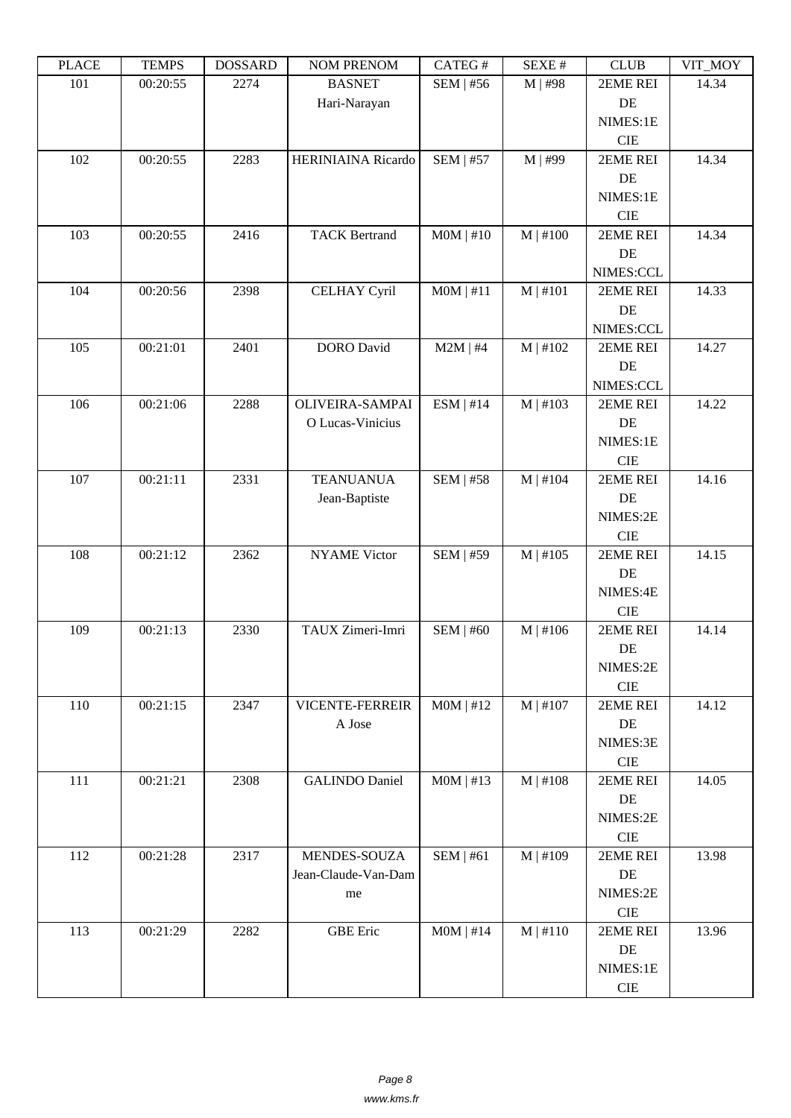| ם המדו | <u>ה דואים ד</u> | <b>DOPPULP</b> | <b>TAQIMET IZETAQIME</b> | $CALU \pi$       | π ברגבוט      | <b>CEOD</b> | $V11$ $V1$ |
|--------|------------------|----------------|--------------------------|------------------|---------------|-------------|------------|
| 101    | 00:20:55         | 2274           | <b>BASNET</b>            | SEM   #56        | $M$   #98     | 2EME REI    | 14.34      |
|        |                  |                | Hari-Narayan             |                  |               | DE          |            |
|        |                  |                |                          |                  |               | NIMES:1E    |            |
|        |                  |                |                          |                  |               | <b>CIE</b>  |            |
| 102    | 00:20:55         | 2283           | HERINIAINA Ricardo       | <b>SEM   #57</b> | M   #99       | 2EME REI    | 14.34      |
|        |                  |                |                          |                  |               | DE          |            |
|        |                  |                |                          |                  |               | NIMES:1E    |            |
|        |                  |                |                          |                  |               | <b>CIE</b>  |            |
| 103    | 00:20:55         | 2416           | <b>TACK Bertrand</b>     | $MOM$   #10      | $M$   #100    | 2EME REI    | 14.34      |
|        |                  |                |                          |                  |               | DE          |            |
|        |                  |                |                          |                  |               | NIMES:CCL   |            |
| 104    | 00:20:56         | 2398           | <b>CELHAY Cyril</b>      | $MOM$   #11      | $M$   #101    | 2EME REI    | 14.33      |
|        |                  |                |                          |                  |               | DE          |            |
|        |                  |                |                          |                  |               | NIMES:CCL   |            |
| 105    | 00:21:01         | 2401           | <b>DORO</b> David        | $M2M$   #4       | M   #102      | 2EME REI    | 14.27      |
|        |                  |                |                          |                  |               | DE          |            |
|        |                  |                |                          |                  |               | NIMES:CCL   |            |
| 106    | 00:21:06         | 2288           | OLIVEIRA-SAMPAI          | ESM   #14        | M   #103      | 2EME REI    | 14.22      |
|        |                  |                | O Lucas-Vinicius         |                  |               | DE          |            |
|        |                  |                |                          |                  |               | NIMES:1E    |            |
|        |                  |                |                          |                  |               | $\rm CIE$   |            |
| 107    | 00:21:11         | 2331           | <b>TEANUANUA</b>         | <b>SEM   #58</b> | $M$   #104    | 2EME REI    | 14.16      |
|        |                  |                | Jean-Baptiste            |                  |               | DE          |            |
|        |                  |                |                          |                  |               | NIMES:2E    |            |
|        |                  |                |                          |                  |               | $\rm CIE$   |            |
| 108    | 00:21:12         | 2362           | <b>NYAME Victor</b>      | <b>SEM   #59</b> | M   #105      | 2EME REI    | 14.15      |
|        |                  |                |                          |                  |               | $\rm DE$    |            |
|        |                  |                |                          |                  |               | NIMES:4E    |            |
|        |                  |                |                          |                  |               | $\rm CIE$   |            |
| 109    | 00:21:13         | 2330           | TAUX Zimeri-Imri         | $SEM$   #60      | $M$   #106    | 2EME REI    | 14.14      |
|        |                  |                |                          |                  |               | $\rm DE$    |            |
|        |                  |                |                          |                  |               | NIMES:2E    |            |
|        |                  |                |                          |                  |               | CIE         |            |
| 110    | 00:21:15         | 2347           | VICENTE-FERREIR          | MOM   #12        | $M$   #107    | 2EME REI    | 14.12      |
|        |                  |                | A Jose                   |                  |               | $\rm DE$    |            |
|        |                  |                |                          |                  |               | NIMES:3E    |            |
|        |                  |                |                          |                  |               | $\rm CIE$   |            |
| 111    | 00:21:21         | 2308           | <b>GALINDO</b> Daniel    | $MOM$   #13      | $M \mid #108$ | 2EME REI    | 14.05      |
|        |                  |                |                          |                  |               | DE          |            |
|        |                  |                |                          |                  |               | NIMES:2E    |            |
|        |                  |                |                          |                  |               | ${\rm CIE}$ |            |
| 112    | 00:21:28         | 2317           | MENDES-SOUZA             | SEM   #61        | $M$   #109    | 2EME REI    | 13.98      |
|        |                  |                | Jean-Claude-Van-Dam      |                  |               | DE          |            |
|        |                  |                | me                       |                  |               | NIMES:2E    |            |
|        |                  |                |                          |                  |               | $\rm CIE$   |            |
| 113    | 00:21:29         | 2282           | <b>GBE</b> Eric          | $MOM$   #14      | $M$   #110    | 2EME REI    | 13.96      |
|        |                  |                |                          |                  |               | $\rm DE$    |            |
|        |                  |                |                          |                  |               | NIMES:1E    |            |
|        |                  |                |                          |                  |               | $\rm CIE$   |            |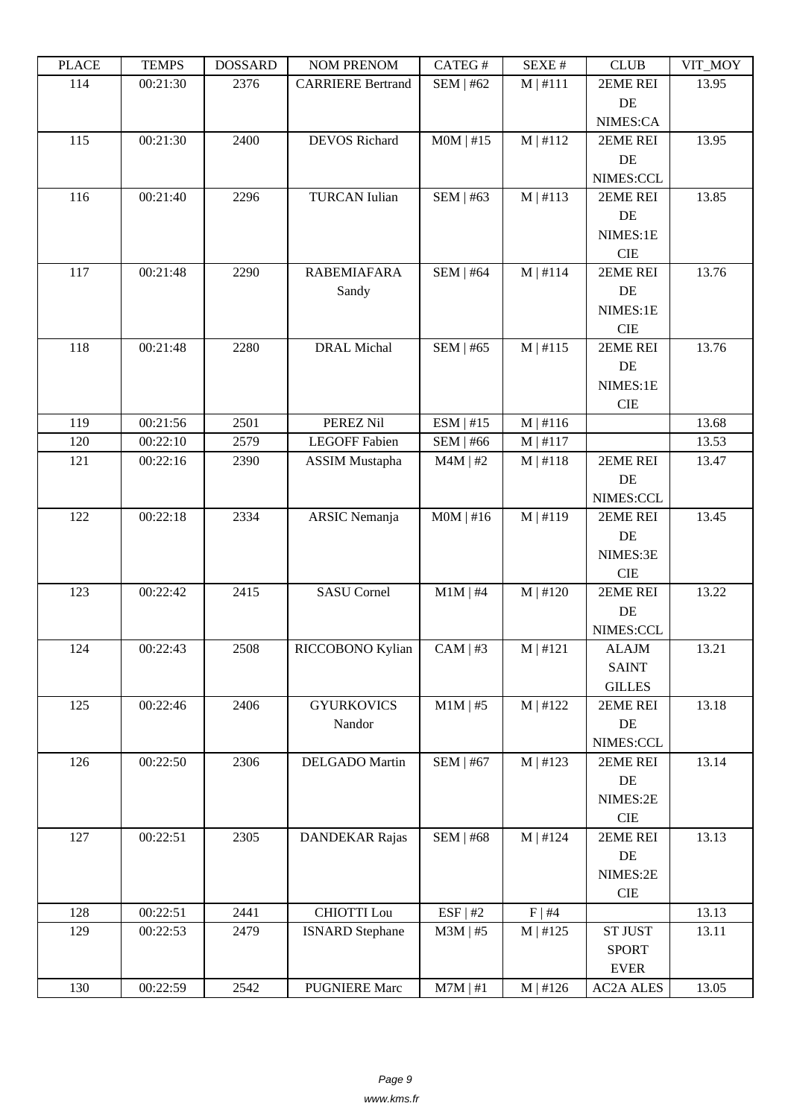| ם המדו | <u>ה דואים ד</u> | <b>DOPPULP</b> | <b>INOINET IVERFOINE</b> | $CALU \pi$       | NL/NL π       | <b>CEOD</b>          | $V11$ $N1$ |
|--------|------------------|----------------|--------------------------|------------------|---------------|----------------------|------------|
| 114    | 00:21:30         | 2376           | <b>CARRIERE Bertrand</b> | <b>SEM   #62</b> | $M$   #111    | 2EME REI             | 13.95      |
|        |                  |                |                          |                  |               | DE                   |            |
|        |                  |                |                          |                  |               | NIMES:CA             |            |
| 115    | 00:21:30         | 2400           | <b>DEVOS Richard</b>     | $MOM$   #15      | M   #112      | 2EME REI             | 13.95      |
|        |                  |                |                          |                  |               | DE                   |            |
|        |                  |                |                          |                  |               | NIMES:CCL            |            |
| 116    | 00:21:40         | 2296           | <b>TURCAN</b> Iulian     | <b>SEM   #63</b> | M   #113      | 2EME REI             | 13.85      |
|        |                  |                |                          |                  |               | DE                   |            |
|        |                  |                |                          |                  |               | NIMES:1E             |            |
|        |                  |                |                          |                  |               | <b>CIE</b>           |            |
| 117    | 00:21:48         | 2290           | <b>RABEMIAFARA</b>       | <b>SEM   #64</b> | $M$   #114    | 2EME REI             | 13.76      |
|        |                  |                | Sandy                    |                  |               | DE                   |            |
|        |                  |                |                          |                  |               | NIMES:1E             |            |
|        |                  |                |                          |                  |               | <b>CIE</b>           |            |
| 118    | 00:21:48         | 2280           | <b>DRAL Michal</b>       | <b>SEM   #65</b> | M   #115      | 2EME REI             | 13.76      |
|        |                  |                |                          |                  |               | $\rm DE$             |            |
|        |                  |                |                          |                  |               | NIMES:1E             |            |
|        |                  |                |                          |                  |               | CIE                  |            |
| 119    | 00:21:56         | 2501           | PEREZ Nil                | ESM   #15        | M   #116      |                      | 13.68      |
| 120    | 00:22:10         | 2579           | <b>LEGOFF Fabien</b>     | <b>SEM   #66</b> | $M$   #117    |                      | 13.53      |
| 121    | 00:22:16         | 2390           | <b>ASSIM Mustapha</b>    | $M4M$   #2       | $M \mid #118$ | 2EME REI             | 13.47      |
|        |                  |                |                          |                  |               | DE                   |            |
|        |                  |                |                          |                  |               | NIMES:CCL            |            |
| 122    | 00:22:18         | 2334           | <b>ARSIC</b> Nemanja     | $MOM$   #16      | $M \mid #119$ | 2EME REI             | 13.45      |
|        |                  |                |                          |                  |               | DE                   |            |
|        |                  |                |                          |                  |               | NIMES:3E             |            |
|        |                  |                |                          |                  |               | $\rm CIE$            |            |
| 123    | 00:22:42         | 2415           | <b>SASU Cornel</b>       | $M1M$   #4       | M   #120      | 2EME REI             | 13.22      |
|        |                  |                |                          |                  |               | DE                   |            |
|        |                  |                |                          |                  |               | NIMES:CCL            |            |
| 124    | 00:22:43         | 2508           | RICCOBONO Kylian         | $CAM \mid #3$    | M   #121      | <b>ALAJM</b>         | 13.21      |
|        |                  |                |                          |                  |               | <b>SAINT</b>         |            |
|        |                  |                |                          |                  |               | <b>GILLES</b>        |            |
| 125    | 00:22:46         | 2406           | <b>GYURKOVICS</b>        | $M1M$   #5       | M   #122      | 2EME REI             | 13.18      |
|        |                  |                | Nandor                   |                  |               | DE                   |            |
|        |                  | 2306           |                          |                  |               | NIMES:CCL            |            |
| 126    | 00:22:50         |                | DELGADO Martin           | <b>SEM   #67</b> | M   #123      | 2EME REI<br>$\rm DE$ | 13.14      |
|        |                  |                |                          |                  |               | NIMES:2E             |            |
|        |                  |                |                          |                  |               | $\rm CIE$            |            |
| 127    | 00:22:51         | 2305           | <b>DANDEKAR Rajas</b>    | <b>SEM   #68</b> | M   #124      | 2EME REI             | 13.13      |
|        |                  |                |                          |                  |               | $\rm DE$             |            |
|        |                  |                |                          |                  |               | NIMES:2E             |            |
|        |                  |                |                          |                  |               | $\rm CIE$            |            |
| 128    | 00:22:51         | 2441           | <b>CHIOTTI</b> Lou       | ESF   #2         | $F \mid #4$   |                      | 13.13      |
| 129    | 00:22:53         | 2479           | <b>ISNARD Stephane</b>   | $M3M$   #5       | M   #125      | <b>ST JUST</b>       | 13.11      |
|        |                  |                |                          |                  |               | <b>SPORT</b>         |            |
|        |                  |                |                          |                  |               | <b>EVER</b>          |            |
| 130    | 00:22:59         | 2542           | <b>PUGNIERE Marc</b>     | $M7M$   #1       | M   #126      | <b>AC2A ALES</b>     | 13.05      |
|        |                  |                |                          |                  |               |                      |            |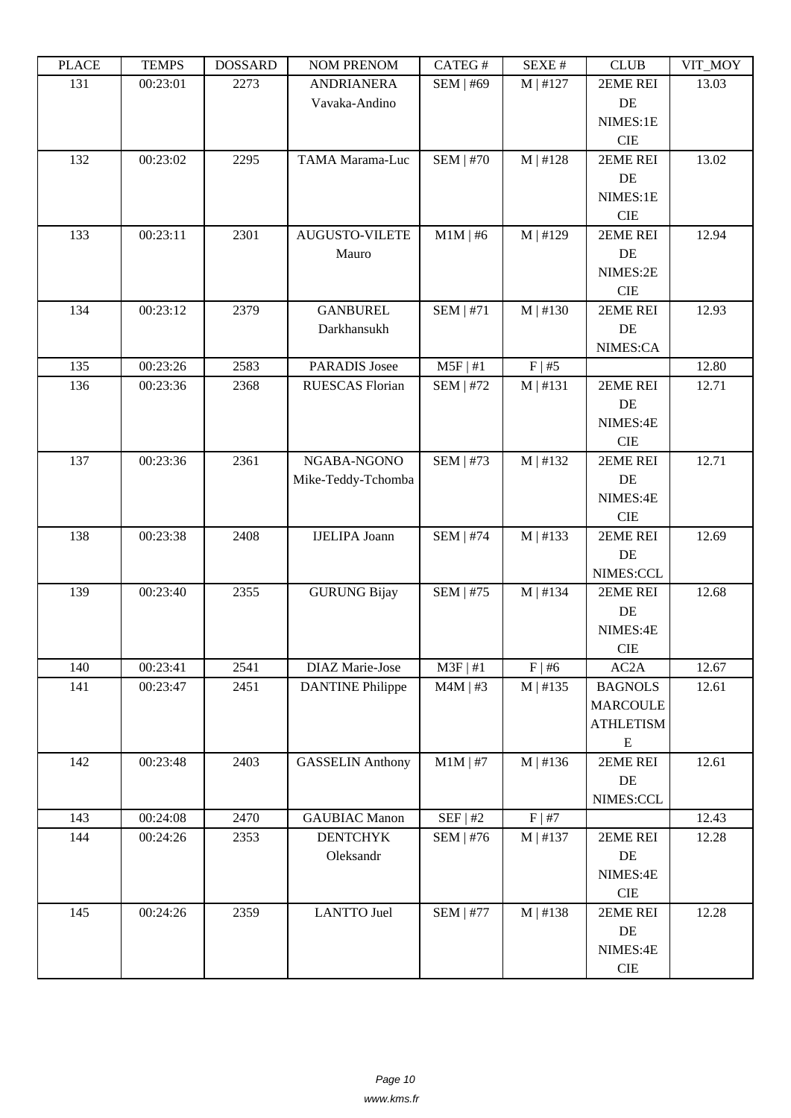| LLAUD | L LIVIII D | <u> חשדיממה ח</u> | NUM TNENUM              | <b>CATLOT</b>    | DL/AL π       | CLUD             | VII_NIVI |
|-------|------------|-------------------|-------------------------|------------------|---------------|------------------|----------|
| 131   | 00:23:01   | 2273              | <b>ANDRIANERA</b>       | <b>SEM   #69</b> | M   #127      | 2EME REI         | 13.03    |
|       |            |                   | Vavaka-Andino           |                  |               | DE               |          |
|       |            |                   |                         |                  |               | NIMES:1E         |          |
|       |            |                   |                         |                  |               | <b>CIE</b>       |          |
| 132   | 00:23:02   | 2295              | TAMA Marama-Luc         | <b>SEM   #70</b> | M   #128      | 2EME REI         | 13.02    |
|       |            |                   |                         |                  |               | DE               |          |
|       |            |                   |                         |                  |               | NIMES:1E         |          |
|       |            |                   |                         |                  |               | <b>CIE</b>       |          |
| 133   | 00:23:11   | 2301              | <b>AUGUSTO-VILETE</b>   | $M1M$   #6       | M   #129      | 2EME REI         | 12.94    |
|       |            |                   | Mauro                   |                  |               | DE               |          |
|       |            |                   |                         |                  |               | NIMES:2E         |          |
|       |            |                   |                         |                  |               | <b>CIE</b>       |          |
| 134   | 00:23:12   | 2379              | <b>GANBUREL</b>         | <b>SEM   #71</b> | M   #130      | 2EME REI         | 12.93    |
|       |            |                   | Darkhansukh             |                  |               | DE               |          |
|       |            |                   |                         |                  |               | NIMES:CA         |          |
| 135   | 00:23:26   | 2583              | <b>PARADIS Josee</b>    | $M5F$   #1       | F   #5        |                  | 12.80    |
| 136   | 00:23:36   | 2368              | RUESCAS Florian         | <b>SEM   #72</b> | M   #131      | 2EME REI         | 12.71    |
|       |            |                   |                         |                  |               | DE               |          |
|       |            |                   |                         |                  |               | NIMES:4E         |          |
|       |            |                   |                         |                  |               | <b>CIE</b>       |          |
| 137   | 00:23:36   | 2361              | NGABA-NGONO             | SEM   $#73$      | M   #132      | 2EME REI         | 12.71    |
|       |            |                   |                         |                  |               | DE               |          |
|       |            |                   | Mike-Teddy-Tchomba      |                  |               |                  |          |
|       |            |                   |                         |                  |               | NIMES:4E         |          |
|       |            |                   |                         |                  |               | <b>CIE</b>       |          |
| 138   | 00:23:38   | 2408              | <b>IJELIPA Joann</b>    | <b>SEM   #74</b> | M   #133      | 2EME REI         | 12.69    |
|       |            |                   |                         |                  |               | DE               |          |
|       |            |                   |                         |                  |               | NIMES:CCL        |          |
| 139   | 00:23:40   | 2355              | <b>GURUNG Bijay</b>     | SEM   #75        | M   #134      | 2EME REI         | 12.68    |
|       |            |                   |                         |                  |               | DE               |          |
|       |            |                   |                         |                  |               | NIMES:4E         |          |
|       |            |                   |                         |                  |               | <b>CIE</b>       |          |
| 140   | 00:23:41   | 2541              | DIAZ Marie-Jose         | $M3F$   #1       | $F \mid #6$   | AC2A             | 12.67    |
| 141   | 00:23:47   | 2451              | <b>DANTINE Philippe</b> | $M4M$   #3       | M   #135      | <b>BAGNOLS</b>   | 12.61    |
|       |            |                   |                         |                  |               | MARCOULE         |          |
|       |            |                   |                         |                  |               | <b>ATHLETISM</b> |          |
|       |            |                   |                         |                  |               | ${\bf E}$        |          |
| 142   | 00:23:48   | 2403              | <b>GASSELIN Anthony</b> | $M1M$   #7       | M   #136      | 2EME REI         | 12.61    |
|       |            |                   |                         |                  |               | $\rm DE$         |          |
|       |            |                   |                         |                  |               | NIMES:CCL        |          |
| 143   | 00:24:08   | 2470              | <b>GAUBIAC</b> Manon    | SEF   #2         | F   #7        |                  | 12.43    |
| 144   | 00:24:26   | 2353              | <b>DENTCHYK</b>         | SEM   #76        | $M \mid #137$ | 2EME REI         | 12.28    |
|       |            |                   | Oleksandr               |                  |               | DE               |          |
|       |            |                   |                         |                  |               | NIMES:4E         |          |
|       |            |                   |                         |                  |               | <b>CIE</b>       |          |
| 145   | 00:24:26   | 2359              | <b>LANTTO Juel</b>      | <b>SEM   #77</b> | M   #138      | 2EME REI         | 12.28    |
|       |            |                   |                         |                  |               | $\rm DE$         |          |
|       |            |                   |                         |                  |               | NIMES:4E         |          |
|       |            |                   |                         |                  |               | <b>CIE</b>       |          |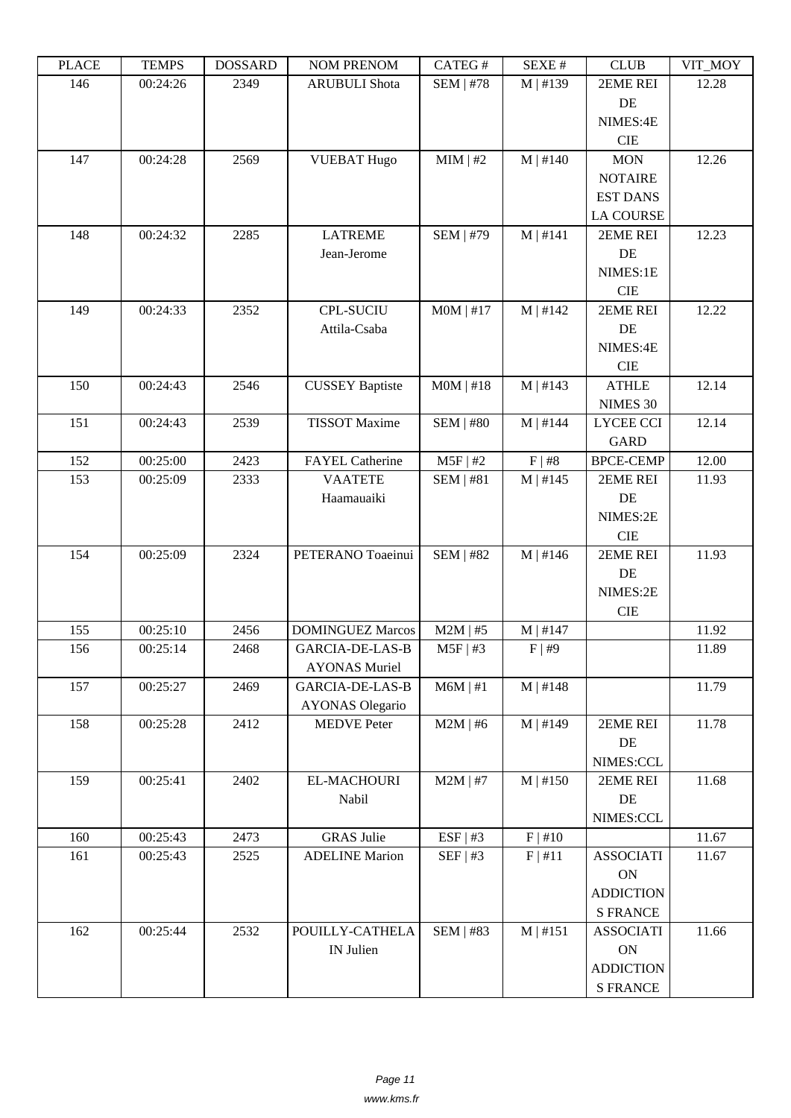| i lati | ט וואדם ז | <b>DOPPULP</b> | <b>TAOIM I IVETAOIM</b> | $CALU \pi$       | π تىدىد    | <b>CLUD</b>      | VII IVIUI |
|--------|-----------|----------------|-------------------------|------------------|------------|------------------|-----------|
| 146    | 00:24:26  | 2349           | <b>ARUBULI</b> Shota    | <b>SEM   #78</b> | M   #139   | 2EME REI         | 12.28     |
|        |           |                |                         |                  |            | DE               |           |
|        |           |                |                         |                  |            | NIMES:4E         |           |
|        |           |                |                         |                  |            | CIE              |           |
| 147    | 00:24:28  | 2569           | <b>VUEBAT Hugo</b>      | MIM   #2         | $M$   #140 | <b>MON</b>       | 12.26     |
|        |           |                |                         |                  |            | <b>NOTAIRE</b>   |           |
|        |           |                |                         |                  |            | <b>EST DANS</b>  |           |
|        |           |                |                         |                  |            | <b>LA COURSE</b> |           |
| 148    | 00:24:32  | 2285           | <b>LATREME</b>          | <b>SEM   #79</b> | $M$   #141 | 2EME REI         | 12.23     |
|        |           |                | Jean-Jerome             |                  |            | DE               |           |
|        |           |                |                         |                  |            | NIMES:1E         |           |
|        |           |                |                         |                  |            | CIE              |           |
| 149    | 00:24:33  | 2352           | <b>CPL-SUCIU</b>        | $MOM$   #17      | $M$   #142 | 2EME REI         | 12.22     |
|        |           |                | Attila-Csaba            |                  |            | DE               |           |
|        |           |                |                         |                  |            | NIMES:4E         |           |
|        |           |                |                         |                  |            | <b>CIE</b>       |           |
| 150    | 00:24:43  | 2546           | <b>CUSSEY Baptiste</b>  | $MOM$   #18      | M   #143   | <b>ATHLE</b>     | 12.14     |
|        |           |                |                         |                  |            | NIMES 30         |           |
| 151    | 00:24:43  | 2539           | <b>TISSOT</b> Maxime    | <b>SEM   #80</b> | $M$   #144 | <b>LYCEE CCI</b> | 12.14     |
|        |           |                |                         |                  |            | <b>GARD</b>      |           |
| 152    | 00:25:00  | 2423           | <b>FAYEL Catherine</b>  | $M5F$   #2       | F   #8     | <b>BPCE-CEMP</b> | 12.00     |
| 153    | 00:25:09  | 2333           | <b>VAATETE</b>          | SEM   #81        | M   #145   | 2EME REI         | 11.93     |
|        |           |                | Haamauaiki              |                  |            | DE               |           |
|        |           |                |                         |                  |            | NIMES:2E         |           |
|        |           |                |                         |                  |            | <b>CIE</b>       |           |
| 154    | 00:25:09  | 2324           | PETERANO Toaeinui       | <b>SEM   #82</b> | M   #146   | 2EME REI         | 11.93     |
|        |           |                |                         |                  |            | DE               |           |
|        |           |                |                         |                  |            | NIMES:2E         |           |
|        |           |                |                         |                  |            | $\rm CIE$        |           |
| 155    | 00:25:10  | 2456           | <b>DOMINGUEZ Marcos</b> | $M2M$   #5       | $M$   #147 |                  | 11.92     |
| 156    | 00:25:14  | 2468           | GARCIA-DE-LAS-B         | M5F   #3         | F   #9     |                  | 11.89     |
|        |           |                | <b>AYONAS Muriel</b>    |                  |            |                  |           |
| 157    | 00:25:27  | 2469           | <b>GARCIA-DE-LAS-B</b>  | $M6M$   #1       | $M$   #148 |                  | 11.79     |
|        |           |                | <b>AYONAS Olegario</b>  |                  |            |                  |           |
| 158    | 00:25:28  | 2412           | <b>MEDVE</b> Peter      | $M2M$   #6       | $M$   #149 | 2EME REI         | 11.78     |
|        |           |                |                         |                  |            | DE               |           |
|        |           |                |                         |                  |            | NIMES:CCL        |           |
| 159    | 00:25:41  | 2402           | EL-MACHOURI             | $M2M$   #7       | $M$   #150 | 2EME REI         | 11.68     |
|        |           |                | Nabil                   |                  |            | DE               |           |
|        |           |                |                         |                  |            | NIMES:CCL        |           |
| 160    | 00:25:43  | 2473           | <b>GRAS</b> Julie       | ESF   #3         | F   #10    |                  | 11.67     |
| 161    | 00:25:43  | 2525           | <b>ADELINE Marion</b>   | SEF   #3         | F   #11    | <b>ASSOCIATI</b> | 11.67     |
|        |           |                |                         |                  |            | $\mathbf{ON}$    |           |
|        |           |                |                         |                  |            | <b>ADDICTION</b> |           |
|        |           |                |                         |                  |            | <b>S FRANCE</b>  |           |
| 162    | 00:25:44  | 2532           | POUILLY-CATHELA         | <b>SEM   #83</b> | M   #151   | <b>ASSOCIATI</b> | 11.66     |
|        |           |                | IN Julien               |                  |            | <b>ON</b>        |           |
|        |           |                |                         |                  |            | <b>ADDICTION</b> |           |
|        |           |                |                         |                  |            | <b>S FRANCE</b>  |           |
|        |           |                |                         |                  |            |                  |           |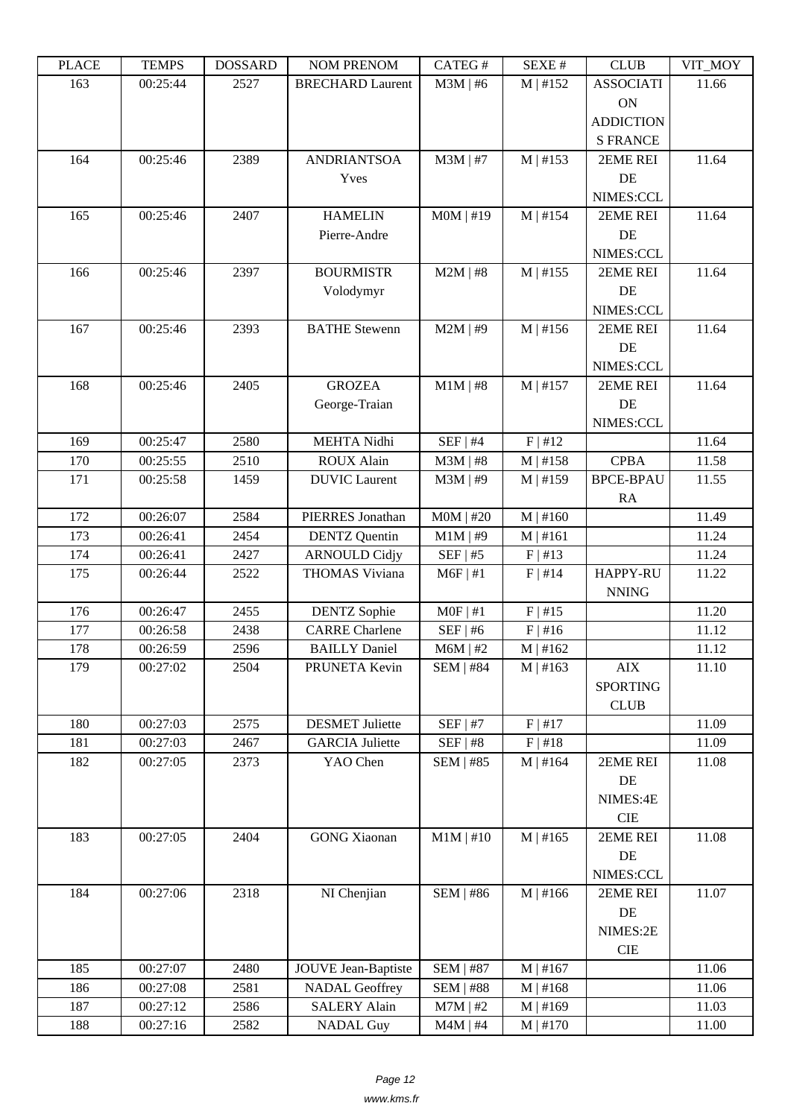| i lati | ט וואדם ז | <b>DOPPULP</b> | <b>INOINET IVERFOINE</b> | CAILO T          | π تىدىد       | <b>CLUD</b>      | $V11$ $V1$ |
|--------|-----------|----------------|--------------------------|------------------|---------------|------------------|------------|
| 163    | 00:25:44  | 2527           | <b>BRECHARD Laurent</b>  | $M3M \mid #6$    | M   #152      | <b>ASSOCIATI</b> | 11.66      |
|        |           |                |                          |                  |               | <b>ON</b>        |            |
|        |           |                |                          |                  |               | <b>ADDICTION</b> |            |
|        |           |                |                          |                  |               | <b>S FRANCE</b>  |            |
| 164    | 00:25:46  | 2389           | <b>ANDRIANTSOA</b>       | $M3M$   #7       | M   #153      | 2EME REI         | 11.64      |
|        |           |                | Yves                     |                  |               | DE               |            |
|        |           |                |                          |                  |               | NIMES:CCL        |            |
| 165    | 00:25:46  | 2407           | <b>HAMELIN</b>           | $MOM$   #19      | $M$   #154    | 2EME REI         | 11.64      |
|        |           |                | Pierre-Andre             |                  |               | DE               |            |
|        |           |                |                          |                  |               | NIMES:CCL        |            |
| 166    | 00:25:46  | 2397           | <b>BOURMISTR</b>         | $M2M$   #8       | $M$   #155    | 2EME REI         | 11.64      |
|        |           |                | Volodymyr                |                  |               | DE               |            |
|        |           |                |                          |                  |               | NIMES:CCL        |            |
| 167    | 00:25:46  | 2393           | <b>BATHE Stewenn</b>     | $M2M$   #9       | M   #156      | 2EME REI         | 11.64      |
|        |           |                |                          |                  |               | DE               |            |
|        |           |                |                          |                  |               | NIMES:CCL        |            |
| 168    | 00:25:46  | 2405           | <b>GROZEA</b>            | $M1M$   #8       | $M$   #157    | 2EME REI         | 11.64      |
|        |           |                | George-Traian            |                  |               | DE               |            |
|        |           |                |                          |                  |               | NIMES:CCL        |            |
| 169    | 00:25:47  | 2580           | MEHTA Nidhi              | $SEF$   #4       | F   #12       |                  | 11.64      |
| 170    | 00:25:55  | 2510           | <b>ROUX Alain</b>        | $M3M$   #8       | M   #158      | <b>CPBA</b>      | 11.58      |
| 171    | 00:25:58  | 1459           | <b>DUVIC</b> Laurent     | $M3M$   #9       | $M$   #159    | <b>BPCE-BPAU</b> | 11.55      |
|        |           |                |                          |                  |               | RA               |            |
| 172    | 00:26:07  | 2584           | PIERRES Jonathan         | $MOM$   #20      | $M \mid #160$ |                  | 11.49      |
| 173    | 00:26:41  | 2454           | <b>DENTZ</b> Quentin     | $M1M$   #9       | $M$   #161    |                  | 11.24      |
| 174    | 00:26:41  | 2427           | <b>ARNOULD Cidjy</b>     | SEF   #5         | F   #13       |                  | 11.24      |
| 175    | 00:26:44  | 2522           | <b>THOMAS Viviana</b>    | $M6F$   #1       | $F$   #14     | <b>HAPPY-RU</b>  | 11.22      |
|        |           |                |                          |                  |               | <b>NNING</b>     |            |
| 176    | 00:26:47  | 2455           | <b>DENTZ</b> Sophie      | $MOF$   #1       | F   #15       |                  | 11.20      |
| 177    | 00:26:58  | 2438           | <b>CARRE</b> Charlene    | $SEF$   #6       | $F$   #16     |                  | 11.12      |
| 178    | 00:26:59  | 2596           | <b>BAILLY Daniel</b>     | $M6M$   #2       | M   #162      |                  | 11.12      |
| 179    | 00:27:02  | 2504           | PRUNETA Kevin            | $SEM$   #84      | $M \mid #163$ | AIX              | 11.10      |
|        |           |                |                          |                  |               | <b>SPORTING</b>  |            |
|        |           |                |                          |                  |               | <b>CLUB</b>      |            |
| 180    | 00:27:03  | 2575           | <b>DESMET Juliette</b>   | $SEF$   #7       | F   #17       |                  | 11.09      |
| 181    | 00:27:03  | 2467           | <b>GARCIA</b> Juliette   | SEF   #8         | F   #18       |                  | 11.09      |
| 182    | 00:27:05  | 2373           | YAO Chen                 | <b>SEM   #85</b> | M   #164      | 2EME REI         | 11.08      |
|        |           |                |                          |                  |               | $\rm DE$         |            |
|        |           |                |                          |                  |               | NIMES:4E         |            |
|        |           |                |                          |                  |               | $\rm CIE$        |            |
| 183    | 00:27:05  | 2404           | <b>GONG</b> Xiaonan      | $M1M$   #10      | $M$   #165    | 2EME REI         | 11.08      |
|        |           |                |                          |                  |               | DE               |            |
|        |           |                |                          |                  |               | NIMES:CCL        |            |
| 184    | 00:27:06  | 2318           | NI Chenjian              | <b>SEM   #86</b> | $M$   #166    | 2EME REI         | 11.07      |
|        |           |                |                          |                  |               | DE               |            |
|        |           |                |                          |                  |               | NIMES:2E         |            |
|        |           |                |                          |                  |               | $\rm CIE$        |            |
| 185    | 00:27:07  | 2480           | JOUVE Jean-Baptiste      | <b>SEM   #87</b> | M   #167      |                  | 11.06      |
| 186    | 00:27:08  | 2581           | <b>NADAL Geoffrey</b>    | <b>SEM   #88</b> | M   #168      |                  | 11.06      |
|        |           |                |                          |                  |               |                  |            |
| 187    | 00:27:12  | 2586           | <b>SALERY Alain</b>      | $M7M$   #2       | M   #169      |                  | 11.03      |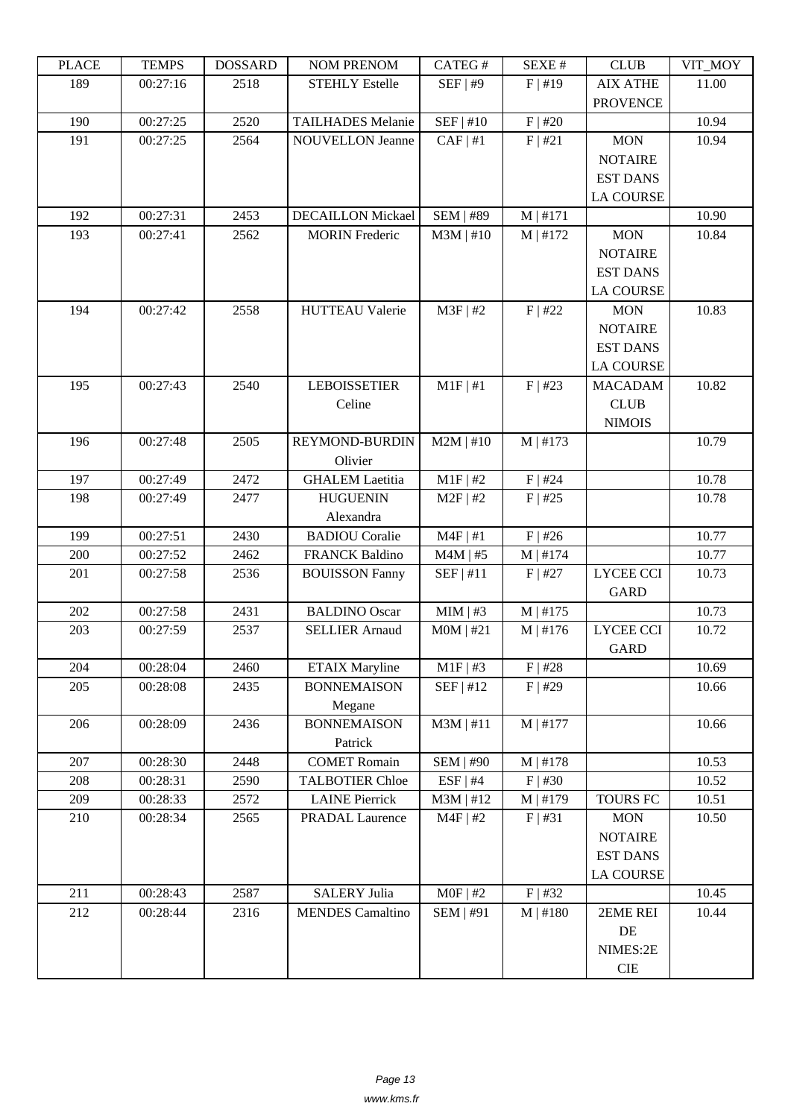| LEUCE | <b>TENTI D</b> | <b>UUUUUUU</b> | <b>INUINT I INEINUINI</b> | CATLO T          | DL/AL π       | CLUD             | VII_MUI |
|-------|----------------|----------------|---------------------------|------------------|---------------|------------------|---------|
| 189   | 00:27:16       | 2518           | <b>STEHLY Estelle</b>     | SEF   #9         | $F$   #19     | <b>AIX ATHE</b>  | 11.00   |
|       |                |                |                           |                  |               | <b>PROVENCE</b>  |         |
| 190   | 00:27:25       | 2520           | <b>TAILHADES Melanie</b>  | $SEF$   #10      | F   #20       |                  | 10.94   |
| 191   | 00:27:25       | 2564           | <b>NOUVELLON Jeanne</b>   | CAF   #1         | F   #21       | <b>MON</b>       | 10.94   |
|       |                |                |                           |                  |               | <b>NOTAIRE</b>   |         |
|       |                |                |                           |                  |               | <b>EST DANS</b>  |         |
|       |                |                |                           |                  |               | <b>LA COURSE</b> |         |
| 192   | 00:27:31       | 2453           | <b>DECAILLON Mickael</b>  | <b>SEM   #89</b> | M   #171      |                  | 10.90   |
| 193   | 00:27:41       | 2562           | <b>MORIN</b> Frederic     | $M3M$   #10      | $M$   #172    | <b>MON</b>       | 10.84   |
|       |                |                |                           |                  |               | <b>NOTAIRE</b>   |         |
|       |                |                |                           |                  |               | <b>EST DANS</b>  |         |
|       |                |                |                           |                  |               | <b>LA COURSE</b> |         |
| 194   | 00:27:42       | 2558           | <b>HUTTEAU Valerie</b>    | $M3F$   #2       | $F$   #22     | <b>MON</b>       | 10.83   |
|       |                |                |                           |                  |               | <b>NOTAIRE</b>   |         |
|       |                |                |                           |                  |               | <b>EST DANS</b>  |         |
|       |                |                |                           |                  |               | <b>LA COURSE</b> |         |
| 195   | 00:27:43       | 2540           | <b>LEBOISSETIER</b>       | $M1F$   #1       | $F$   #23     | <b>MACADAM</b>   | 10.82   |
|       |                |                | Celine                    |                  |               | <b>CLUB</b>      |         |
|       |                |                |                           |                  |               | <b>NIMOIS</b>    |         |
| 196   | 00:27:48       | 2505           | <b>REYMOND-BURDIN</b>     | $M2M$   #10      | M   #173      |                  | 10.79   |
|       |                |                |                           |                  |               |                  |         |
|       |                |                | Olivier                   |                  |               |                  |         |
| 197   | 00:27:49       | 2472           | <b>GHALEM</b> Laetitia    | $M1F$ #2         | $F$   #24     |                  | 10.78   |
| 198   | 00:27:49       | 2477           | <b>HUGUENIN</b>           | $M2F$   #2       | $F$   #25     |                  | 10.78   |
|       |                |                | Alexandra                 |                  |               |                  |         |
| 199   | 00:27:51       | 2430           | <b>BADIOU</b> Coralie     | $M4F$   #1       | $F$   #26     |                  | 10.77   |
| 200   | 00:27:52       | 2462           | <b>FRANCK Baldino</b>     | $M4M$   #5       | M   #174      |                  | 10.77   |
| 201   | 00:27:58       | 2536           | <b>BOUISSON Fanny</b>     | SEF   #11        | $F$   #27     | <b>LYCEE CCI</b> | 10.73   |
|       |                |                |                           |                  |               | <b>GARD</b>      |         |
| 202   | 00:27:58       | 2431           | <b>BALDINO</b> Oscar      | $MIM$   #3       | $M$   #175    |                  | 10.73   |
| 203   | 00:27:59       | 2537           | <b>SELLIER Arnaud</b>     | $MOM$   #21      | M   #176      | <b>LYCEE CCI</b> | 10.72   |
|       |                |                |                           |                  |               | <b>GARD</b>      |         |
| 204   | 00:28:04       | 2460           | <b>ETAIX Maryline</b>     | $M1F$   #3       | $F$   #28     |                  | 10.69   |
| 205   | 00:28:08       | 2435           | <b>BONNEMAISON</b>        | SEF   #12        | $F$   #29     |                  | 10.66   |
|       |                |                | Megane                    |                  |               |                  |         |
| 206   | 00:28:09       | 2436           | <b>BONNEMAISON</b>        | $M3M$   #11      | $M$   #177    |                  | 10.66   |
|       |                |                | Patrick                   |                  |               |                  |         |
| 207   | 00:28:30       | 2448           | <b>COMET Romain</b>       | <b>SEM   #90</b> | M   #178      |                  | 10.53   |
| 208   | 00:28:31       | 2590           | <b>TALBOTIER Chloe</b>    | $ESF$   #4       | $F$ #30       |                  | 10.52   |
| 209   | 00:28:33       | 2572           | <b>LAINE Pierrick</b>     | $M3M$   #12      | M   #179      | <b>TOURS FC</b>  | 10.51   |
| 210   | 00:28:34       | 2565           | <b>PRADAL Laurence</b>    | $M4F$   #2       | F   #31       | <b>MON</b>       | 10.50   |
|       |                |                |                           |                  |               | <b>NOTAIRE</b>   |         |
|       |                |                |                           |                  |               | <b>EST DANS</b>  |         |
|       |                |                |                           |                  |               | <b>LA COURSE</b> |         |
| 211   | 00:28:43       | 2587           | <b>SALERY Julia</b>       | $MOF$   #2       | $F$   #32     |                  | 10.45   |
| 212   | 00:28:44       | 2316           | <b>MENDES</b> Camaltino   | <b>SEM   #91</b> | $M \mid #180$ | 2EME REI         | 10.44   |
|       |                |                |                           |                  |               | $\rm DE$         |         |
|       |                |                |                           |                  |               | NIMES:2E         |         |
|       |                |                |                           |                  |               | CIE              |         |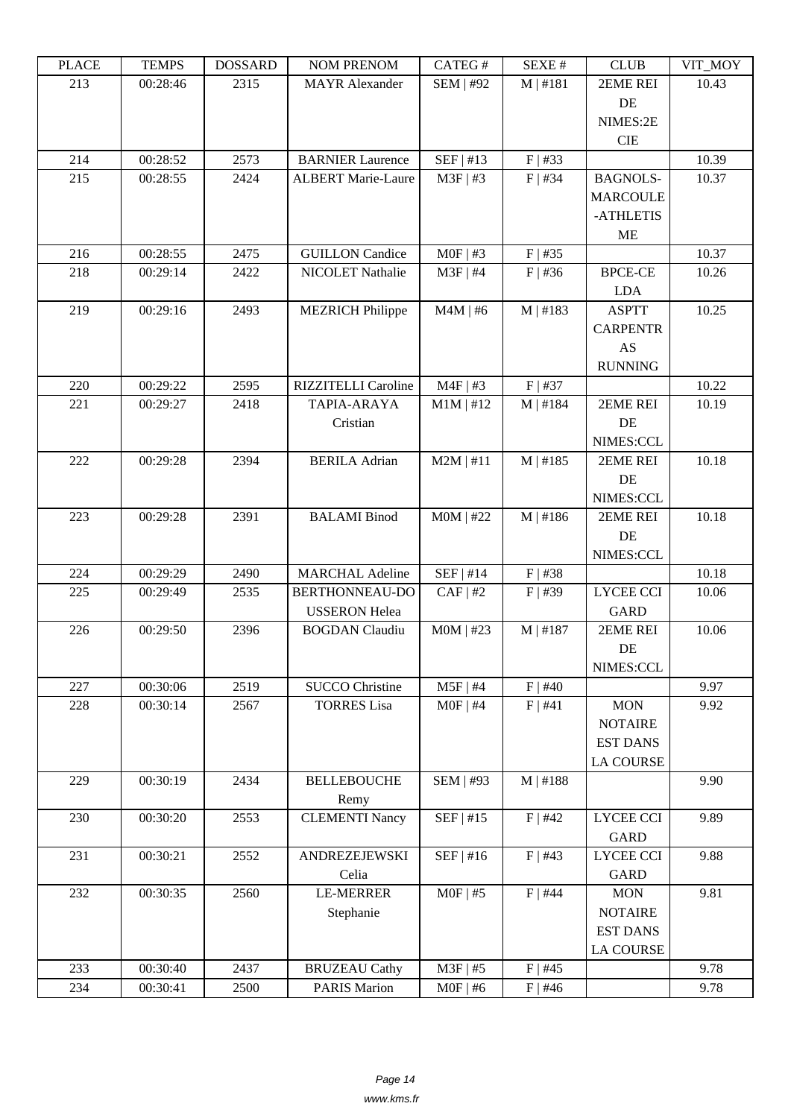| LEUCE | ט נוועדו | <u> חשדיממחת</u> | <b>INUMI I INEINUMI</b>    | CΛ1 LU π                 | DL/AL π    | CLUD             | VII_MUI |
|-------|----------|------------------|----------------------------|--------------------------|------------|------------------|---------|
| 213   | 00:28:46 | 2315             | <b>MAYR</b> Alexander      | <b>SEM   #92</b>         | M   #181   | 2EME REI         | 10.43   |
|       |          |                  |                            |                          |            | DE               |         |
|       |          |                  |                            |                          |            | NIMES:2E         |         |
|       |          |                  |                            |                          |            | <b>CIE</b>       |         |
| 214   | 00:28:52 | 2573             | <b>BARNIER Laurence</b>    | SEF   #13                | $F$   #33  |                  | 10.39   |
| 215   | 00:28:55 | 2424             | <b>ALBERT Marie-Laure</b>  | $M3F$   #3               | $F$   #34  | <b>BAGNOLS-</b>  | 10.37   |
|       |          |                  |                            |                          |            | <b>MARCOULE</b>  |         |
|       |          |                  |                            |                          |            | -ATHLETIS        |         |
|       |          |                  |                            |                          |            | <b>ME</b>        |         |
| 216   | 00:28:55 | 2475             | <b>GUILLON</b> Candice     | $MOF$   #3               | $F$   #35  |                  | 10.37   |
| 218   | 00:29:14 | 2422             | NICOLET Nathalie           | $M3F$   #4               | $F$ #36    | <b>BPCE-CE</b>   | 10.26   |
|       |          |                  |                            |                          |            | <b>LDA</b>       |         |
| 219   | 00:29:16 | 2493             | <b>MEZRICH Philippe</b>    | $M4M$   #6               | M   #183   | <b>ASPTT</b>     | 10.25   |
|       |          |                  |                            |                          |            | <b>CARPENTR</b>  |         |
|       |          |                  |                            |                          |            | AS               |         |
|       |          |                  |                            |                          |            | <b>RUNNING</b>   |         |
| 220   | 00:29:22 | 2595             | <b>RIZZITELLI Caroline</b> | $M4F$ #3                 | $F$   #37  |                  | 10.22   |
| 221   | 00:29:27 | 2418             | TAPIA-ARAYA                | $M1M$   #12              | M   #184   | 2EME REI         | 10.19   |
|       |          |                  | Cristian                   |                          |            | DE               |         |
|       |          |                  |                            |                          |            | NIMES:CCL        |         |
| 222   | 00:29:28 | 2394             | <b>BERILA Adrian</b>       | $M2M$   #11              | M   #185   | 2EME REI         | 10.18   |
|       |          |                  |                            |                          |            | DE               |         |
|       |          |                  |                            |                          |            | NIMES:CCL        |         |
| 223   | 00:29:28 | 2391             | <b>BALAMI</b> Binod        | $MOM$   #22              | M   #186   | 2EME REI         | 10.18   |
|       |          |                  |                            |                          |            | DE               |         |
|       |          |                  |                            |                          |            | NIMES:CCL        |         |
| 224   | 00:29:29 | 2490             | <b>MARCHAL Adeline</b>     | SEF   #14                | $F$   #38  |                  | 10.18   |
| 225   | 00:29:49 | 2535             | BERTHONNEAU-DO             | $CAF$   #2               | $F$   #39  | <b>LYCEE CCI</b> | 10.06   |
|       |          |                  | <b>USSERON</b> Helea       |                          |            | <b>GARD</b>      |         |
| 226   | 00:29:50 | 2396             | <b>BOGDAN</b> Claudiu      | $MOM$   #23              | $M$   #187 | 2EME REI         | 10.06   |
|       |          |                  |                            |                          |            | DE               |         |
|       |          |                  |                            |                          |            |                  |         |
| 227   |          |                  |                            |                          |            | NIMES:CCL        |         |
|       | 00:30:06 | 2519             | <b>SUCCO Christine</b>     | $M5F$   #4<br>$MOF$   #4 | $F$   #40  |                  | 9.97    |
| 228   | 00:30:14 | 2567             | <b>TORRES</b> Lisa         |                          | F   #41    | <b>MON</b>       | 9.92    |
|       |          |                  |                            |                          |            | <b>NOTAIRE</b>   |         |
|       |          |                  |                            |                          |            | <b>EST DANS</b>  |         |
|       |          |                  |                            |                          |            | <b>LA COURSE</b> |         |
| 229   | 00:30:19 | 2434             | <b>BELLEBOUCHE</b>         | <b>SEM   #93</b>         | M   #188   |                  | 9.90    |
|       |          |                  | Remy                       |                          |            |                  |         |
| 230   | 00:30:20 | 2553             | <b>CLEMENTI Nancy</b>      | SEF   #15                | $F$   #42  | <b>LYCEE CCI</b> | 9.89    |
|       |          |                  |                            |                          |            | <b>GARD</b>      |         |
| 231   | 00:30:21 | 2552             | ANDREZEJEWSKI              | SEF   #16                | $F$   #43  | LYCEE CCI        | 9.88    |
|       |          |                  | Celia                      |                          |            | <b>GARD</b>      |         |
| 232   | 00:30:35 | 2560             | <b>LE-MERRER</b>           | $MOF$   #5               | $F$   #44  | <b>MON</b>       | 9.81    |
|       |          |                  | Stephanie                  |                          |            | <b>NOTAIRE</b>   |         |
|       |          |                  |                            |                          |            | <b>EST DANS</b>  |         |
|       |          |                  |                            |                          |            | <b>LA COURSE</b> |         |
| 233   | 00:30:40 | 2437             | <b>BRUZEAU Cathy</b>       | $M3F$   #5               | $F$   #45  |                  | 9.78    |
| 234   | 00:30:41 | 2500             | <b>PARIS Marion</b>        | $MOF$   #6               | $F$   #46  |                  | 9.78    |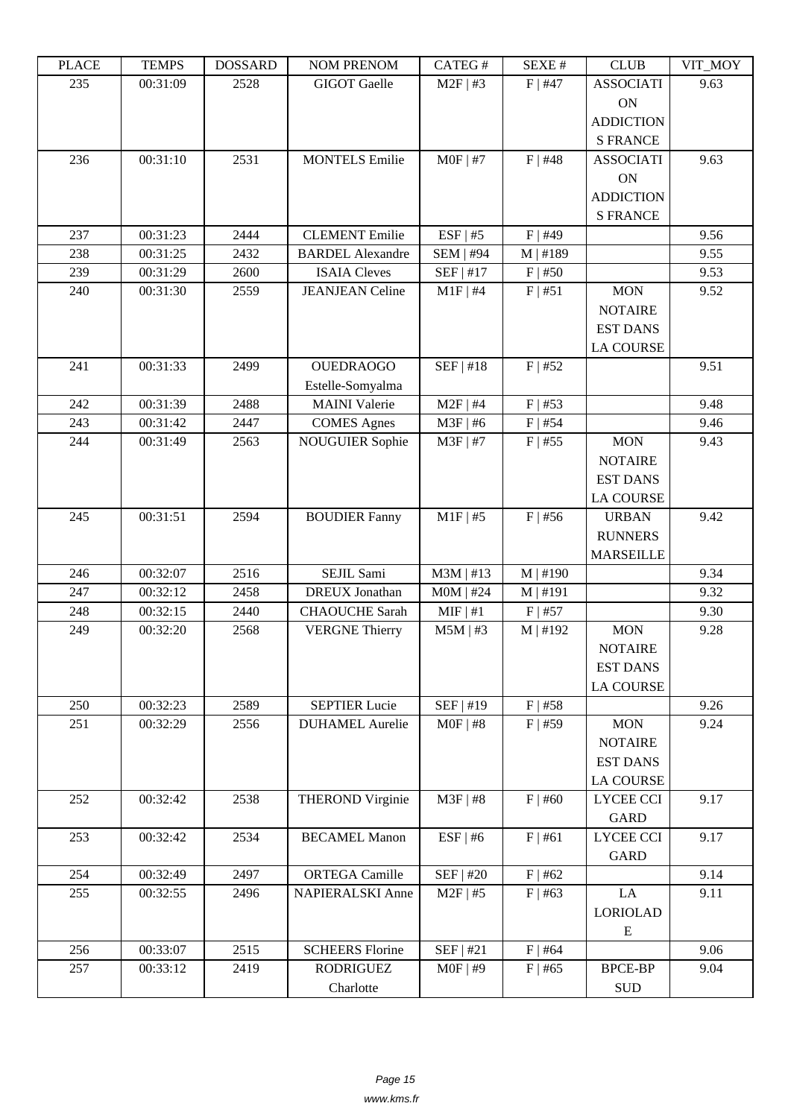| i lati | ט וואדם ז | <b>DOPPULP</b> | <b>INOINET IVERFOINE</b> | $CALU \pi$       | π تىدىد       | <b>CLOD</b>          | $V11$ $V1$ |
|--------|-----------|----------------|--------------------------|------------------|---------------|----------------------|------------|
| 235    | 00:31:09  | 2528           | <b>GIGOT</b> Gaelle      | $M2F$   #3       | $F$   #47     | <b>ASSOCIATI</b>     | 9.63       |
|        |           |                |                          |                  |               | <b>ON</b>            |            |
|        |           |                |                          |                  |               | <b>ADDICTION</b>     |            |
|        |           |                |                          |                  |               | <b>S FRANCE</b>      |            |
| 236    | 00:31:10  | 2531           | <b>MONTELS Emilie</b>    | $MOF$   #7       | $F$   #48     | <b>ASSOCIATI</b>     | 9.63       |
|        |           |                |                          |                  |               | <b>ON</b>            |            |
|        |           |                |                          |                  |               | <b>ADDICTION</b>     |            |
|        |           |                |                          |                  |               | <b>S FRANCE</b>      |            |
| 237    | 00:31:23  | 2444           | <b>CLEMENT</b> Emilie    | $ESF$   #5       | $F$   #49     |                      | 9.56       |
| 238    | 00:31:25  | 2432           | <b>BARDEL Alexandre</b>  | <b>SEM   #94</b> | $M$   #189    |                      | 9.55       |
| 239    | 00:31:29  | 2600           | <b>ISAIA Cleves</b>      | SEF   #17        | $F$   #50     |                      | 9.53       |
| 240    | 00:31:30  | 2559           | <b>JEANJEAN Celine</b>   | $M1F$   #4       | F   #51       | <b>MON</b>           | 9.52       |
|        |           |                |                          |                  |               | <b>NOTAIRE</b>       |            |
|        |           |                |                          |                  |               | <b>EST DANS</b>      |            |
|        |           |                |                          |                  |               | <b>LA COURSE</b>     |            |
| 241    | 00:31:33  | 2499           | <b>OUEDRAOGO</b>         | SEF   #18        | $F$   #52     |                      | 9.51       |
|        |           |                | Estelle-Somyalma         |                  |               |                      |            |
| 242    | 00:31:39  | 2488           | <b>MAINI</b> Valerie     | $M2F$   #4       | $F$   #53     |                      | 9.48       |
| 243    | 00:31:42  | 2447           | <b>COMES Agnes</b>       | $M3F$   #6       | $F$   #54     |                      | 9.46       |
| 244    | 00:31:49  | 2563           | <b>NOUGUIER Sophie</b>   | $M3F$   #7       | $F$   #55     | <b>MON</b>           | 9.43       |
|        |           |                |                          |                  |               | <b>NOTAIRE</b>       |            |
|        |           |                |                          |                  |               | <b>EST DANS</b>      |            |
|        |           |                |                          |                  |               | <b>LA COURSE</b>     |            |
| 245    | 00:31:51  | 2594           | <b>BOUDIER Fanny</b>     | $M1F$ #5         | $F$ #56       | <b>URBAN</b>         | 9.42       |
|        |           |                |                          |                  |               | <b>RUNNERS</b>       |            |
|        |           |                |                          |                  |               | <b>MARSEILLE</b>     |            |
| 246    | 00:32:07  | 2516           | SEJIL Sami               | $M3M$   #13      | $M \mid #190$ |                      | 9.34       |
| 247    | 00:32:12  | 2458           | <b>DREUX</b> Jonathan    | $MOM$   #24      | M   #191      |                      | 9.32       |
| 248    | 00:32:15  | 2440           | <b>CHAOUCHE</b> Sarah    | $MIF$   #1       | $F$   #57     |                      | 9.30       |
| 249    | 00:32:20  | 2568           | <b>VERGNE Thierry</b>    | $M5M$   #3       | M   #192      | <b>MON</b>           | 9.28       |
|        |           |                |                          |                  |               | <b>NOTAIRE</b>       |            |
|        |           |                |                          |                  |               | <b>EST DANS</b>      |            |
|        |           |                |                          |                  |               | <b>LA COURSE</b>     |            |
| 250    | 00:32:23  | 2589           | <b>SEPTIER Lucie</b>     | SEF   #19        | $F$   #58     |                      | 9.26       |
| 251    | 00:32:29  | 2556           | <b>DUHAMEL Aurelie</b>   | $MOF$   #8       | $F$   #59     | <b>MON</b>           | 9.24       |
|        |           |                |                          |                  |               | <b>NOTAIRE</b>       |            |
|        |           |                |                          |                  |               | <b>EST DANS</b>      |            |
|        |           |                |                          |                  |               | <b>LA COURSE</b>     |            |
| 252    | 00:32:42  | 2538           | <b>THEROND Virginie</b>  | M3F   #8         | $F$   #60     | <b>LYCEE CCI</b>     | 9.17       |
|        |           |                |                          |                  |               | <b>GARD</b>          |            |
| 253    | 00:32:42  | 2534           | <b>BECAMEL Manon</b>     | $ESF$   #6       | F   #61       | <b>LYCEE CCI</b>     | 9.17       |
|        |           |                |                          |                  |               | <b>GARD</b>          |            |
| 254    | 00:32:49  | 2497           | <b>ORTEGA Camille</b>    | SEF   #20        | F   #62       |                      | 9.14       |
| 255    | 00:32:55  | 2496           | NAPIERALSKI Anne         | $M2F$   #5       | F   #63       | LA                   | 9.11       |
|        |           |                |                          |                  |               | <b>LORIOLAD</b>      |            |
|        |           |                |                          |                  |               | E                    |            |
| 256    | 00:33:07  | 2515           | <b>SCHEERS Florine</b>   | SEF   #21        | $F$   #64     |                      | 9.06       |
| 257    | 00:33:12  | 2419           | <b>RODRIGUEZ</b>         | $MOF$   #9       | $F$   #65     | <b>BPCE-BP</b>       | 9.04       |
|        |           |                | Charlotte                |                  |               | $\operatorname{SUB}$ |            |